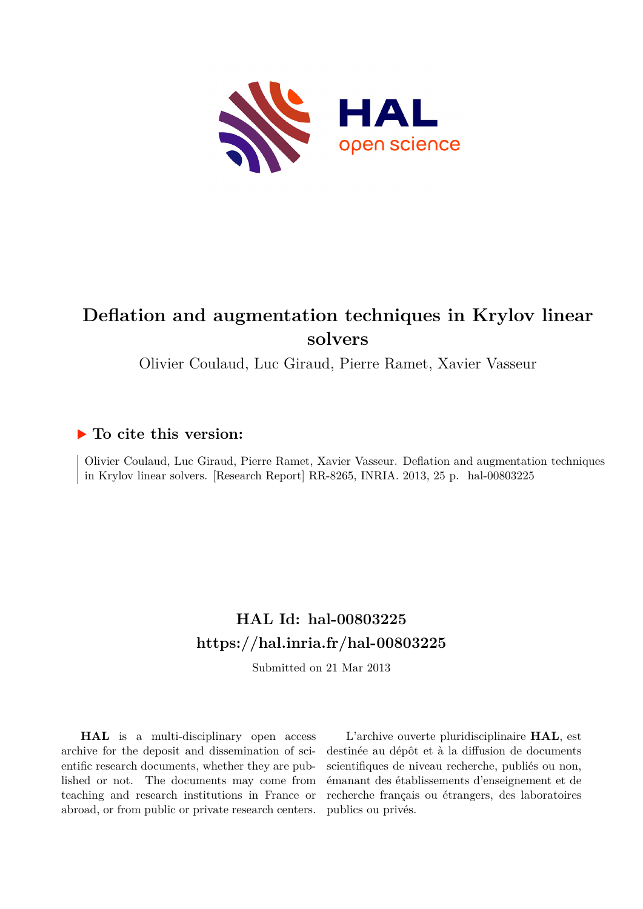

# **Deflation and augmentation techniques in Krylov linear solvers**

Olivier Coulaud, Luc Giraud, Pierre Ramet, Xavier Vasseur

# **To cite this version:**

Olivier Coulaud, Luc Giraud, Pierre Ramet, Xavier Vasseur. Deflation and augmentation techniques in Krylov linear solvers. [Research Report] RR-8265, INRIA. 2013, 25 p.  $hal-00803225$ 

# **HAL Id: hal-00803225 <https://hal.inria.fr/hal-00803225>**

Submitted on 21 Mar 2013

**HAL** is a multi-disciplinary open access archive for the deposit and dissemination of scientific research documents, whether they are published or not. The documents may come from teaching and research institutions in France or abroad, or from public or private research centers.

L'archive ouverte pluridisciplinaire **HAL**, est destinée au dépôt et à la diffusion de documents scientifiques de niveau recherche, publiés ou non, émanant des établissements d'enseignement et de recherche français ou étrangers, des laboratoires publics ou privés.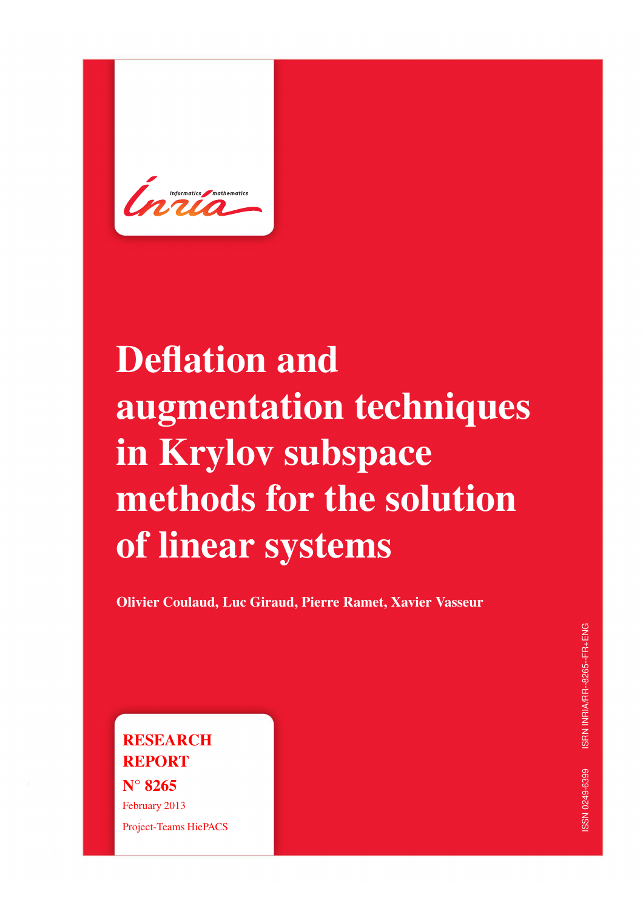# Deflation and augmentation techniques in Krylov subspace methods for the solution of linear systems

Olivier Coulaud, Luc Giraud, Pierre Ramet, Xavier Vasseur

**RESEARCH** REPORT N° 8265 February 2013 Project-Teams HiePACS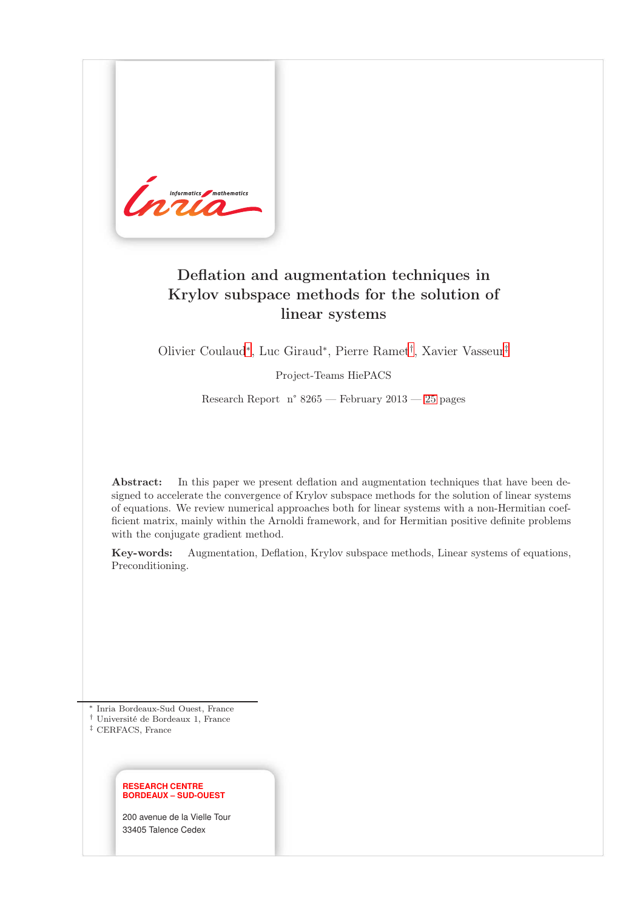

# Deflation and augmentation techniques in Krylov subspace methods for the solution of linear systems

Olivier Coulaud<sup>∗</sup> , Luc Giraud<sup>∗</sup> , Pierre Ramet† , Xavier Vasseur‡

Project-Teams HiePACS

Research Report n° 8265 — February 2013 — [25](#page-28-0) pages

Abstract: In this paper we present deflation and augmentation techniques that have been designed to accelerate the convergence of Krylov subspace methods for the solution of linear systems of equations. We review numerical approaches both for linear systems with a non-Hermitian coefficient matrix, mainly within the Arnoldi framework, and for Hermitian positive definite problems with the conjugate gradient method.

Key-words: Augmentation, Deflation, Krylov subspace methods, Linear systems of equations, Preconditioning.

<sup>∗</sup> Inria Bordeaux-Sud Ouest, France

† Université de Bordeaux 1, France

‡ CERFACS, France

#### **RESEARCH CENTRE BORDEAUX – SUD-OUEST**

200 avenue de la Vielle Tour 33405 Talence Cedex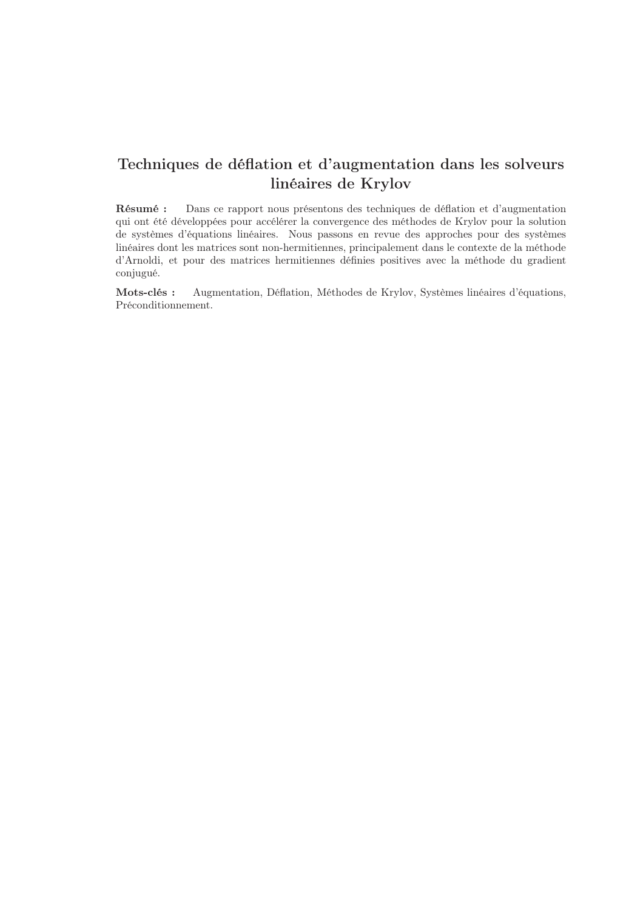# Techniques de déflation et d'augmentation dans les solveurs linéaires de Krylov

Résumé : Dans ce rapport nous présentons des techniques de déflation et d'augmentation qui ont été développées pour accélérer la convergence des méthodes de Krylov pour la solution de systèmes d'équations linéaires. Nous passons en revue des approches pour des systèmes linéaires dont les matrices sont non-hermitiennes, principalement dans le contexte de la méthode d'Arnoldi, et pour des matrices hermitiennes définies positives avec la méthode du gradient conjugué.

Mots-clés : Augmentation, Déflation, Méthodes de Krylov, Systèmes linéaires d'équations, Préconditionnement.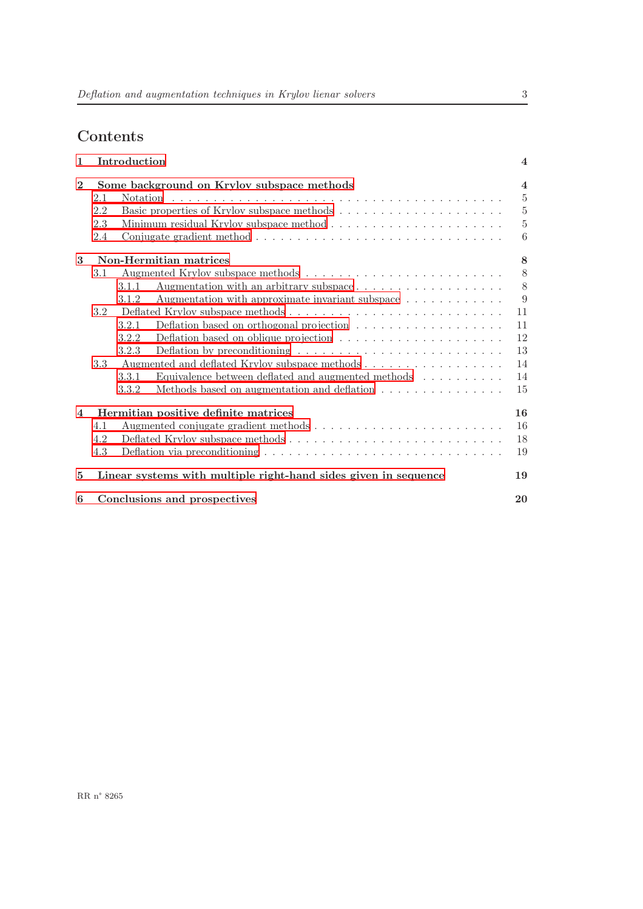# Contents

| $\mathbf{1}$            |                                            | Introduction                                                                                        | $\overline{\mathbf{4}}$ |
|-------------------------|--------------------------------------------|-----------------------------------------------------------------------------------------------------|-------------------------|
| $\overline{2}$          | Some background on Krylov subspace methods |                                                                                                     | $\overline{4}$          |
|                         | 2.1                                        |                                                                                                     | $\overline{5}$          |
|                         | 2.2                                        |                                                                                                     | $\mathbf 5$             |
|                         | 2.3                                        |                                                                                                     | $\overline{5}$          |
|                         | 2.4                                        | Conjugate gradient method $\ldots \ldots \ldots \ldots \ldots \ldots \ldots \ldots \ldots \ldots$   | 6                       |
| 3                       |                                            | Non-Hermitian matrices                                                                              | 8                       |
|                         | 3.1                                        |                                                                                                     | 8                       |
|                         |                                            | Augmentation with an arbitrary subspace<br>3.1.1                                                    | 8                       |
|                         |                                            | Augmentation with approximate invariant subspace $\dots \dots \dots \dots$<br>3.1.2                 | 9                       |
|                         | 3.2                                        |                                                                                                     | 11                      |
|                         |                                            | Deflation based on orthogonal projection $\ldots \ldots \ldots \ldots \ldots \ldots$<br>3.2.1       | 11                      |
|                         |                                            | Deflation based on oblique projection $\ldots \ldots \ldots \ldots \ldots \ldots$<br>3.2.2          | 12                      |
|                         |                                            | 3.2.3<br>Deflation by preconditioning $\dots \dots \dots \dots \dots \dots \dots \dots \dots \dots$ | 13                      |
|                         | 3.3                                        |                                                                                                     | 14                      |
|                         |                                            | Equivalence between deflated and augmented methods<br>$\hfill\ldots\ldots\ldots\ldots$<br>3.3.1     | 14                      |
|                         |                                            | Methods based on augmentation and deflation $\ldots \ldots \ldots \ldots \ldots$<br>3.3.2           | 15                      |
| $\overline{\mathbf{4}}$ | Hermitian positive definite matrices       |                                                                                                     | 16                      |
|                         | 4.1                                        |                                                                                                     | 16                      |
|                         | 4.2                                        |                                                                                                     | 18                      |
|                         | 4.3                                        |                                                                                                     | 19                      |
| 5                       |                                            | Linear systems with multiple right-hand sides given in sequence                                     | 19                      |
| 6                       |                                            | Conclusions and prospectives                                                                        | 20                      |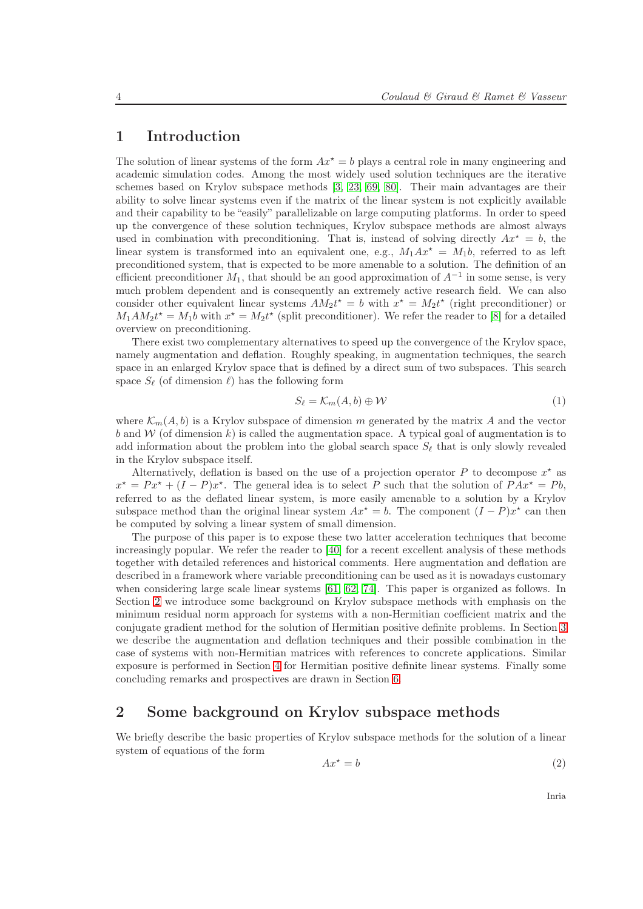## <span id="page-6-0"></span>1 Introduction

The solution of linear systems of the form  $Ax^* = b$  plays a central role in many engineering and academic simulation codes. Among the most widely used solution techniques are the iterative schemes based on Krylov subspace methods [\[3,](#page-23-0) [23,](#page-24-0) [69,](#page-26-0) [80\]](#page-27-0). Their main advantages are their ability to solve linear systems even if the matrix of the linear system is not explicitly available and their capability to be "easily" parallelizable on large computing platforms. In order to speed up the convergence of these solution techniques, Krylov subspace methods are almost always used in combination with preconditioning. That is, instead of solving directly  $Ax^* = b$ , the linear system is transformed into an equivalent one, e.g.,  $M_1Ax^* = M_1b$ , referred to as left preconditioned system, that is expected to be more amenable to a solution. The definition of an efficient preconditioner  $M_1$ , that should be an good approximation of  $A^{-1}$  in some sense, is very much problem dependent and is consequently an extremely active research field. We can also consider other equivalent linear systems  $AM_2t^* = b$  with  $x^* = M_2t^*$  (right preconditioner) or  $M_1AM_2t^* = M_1b$  with  $x^* = M_2t^*$  (split preconditioner). We refer the reader to [\[8\]](#page-23-1) for a detailed overview on preconditioning.

There exist two complementary alternatives to speed up the convergence of the Krylov space, namely augmentation and deflation. Roughly speaking, in augmentation techniques, the search space in an enlarged Krylov space that is defined by a direct sum of two subspaces. This search space  $S_{\ell}$  (of dimension  $\ell$ ) has the following form

<span id="page-6-3"></span>
$$
S_{\ell} = \mathcal{K}_m(A, b) \oplus \mathcal{W} \tag{1}
$$

where  $\mathcal{K}_m(A, b)$  is a Krylov subspace of dimension m generated by the matrix A and the vector b and W (of dimension k) is called the augmentation space. A typical goal of augmentation is to add information about the problem into the global search space  $S_{\ell}$  that is only slowly revealed in the Krylov subspace itself.

Alternatively, deflation is based on the use of a projection operator  $P$  to decompose  $x^*$  as  $x^* = Px^* + (I - P)x^*$ . The general idea is to select P such that the solution of  $PAx^* = Pb$ , referred to as the deflated linear system, is more easily amenable to a solution by a Krylov subspace method than the original linear system  $Ax^* = b$ . The component  $(I - P)x^*$  can then be computed by solving a linear system of small dimension.

The purpose of this paper is to expose these two latter acceleration techniques that become increasingly popular. We refer the reader to [\[40\]](#page-25-0) for a recent excellent analysis of these methods together with detailed references and historical comments. Here augmentation and deflation are described in a framework where variable preconditioning can be used as it is nowadays customary when considering large scale linear systems [\[61,](#page-26-1) [62,](#page-26-2) [74\]](#page-27-1). This paper is organized as follows. In Section [2](#page-6-1) we introduce some background on Krylov subspace methods with emphasis on the minimum residual norm approach for systems with a non-Hermitian coefficient matrix and the conjugate gradient method for the solution of Hermitian positive definite problems. In Section [3](#page-10-0) we describe the augmentation and deflation techniques and their possible combination in the case of systems with non-Hermitian matrices with references to concrete applications. Similar exposure is performed in Section [4](#page-18-0) for Hermitian positive definite linear systems. Finally some concluding remarks and prospectives are drawn in Section [6.](#page-22-0)

## <span id="page-6-1"></span>2 Some background on Krylov subspace methods

We briefly describe the basic properties of Krylov subspace methods for the solution of a linear system of equations of the form

<span id="page-6-2"></span>
$$
Ax^* = b \tag{2}
$$

Inria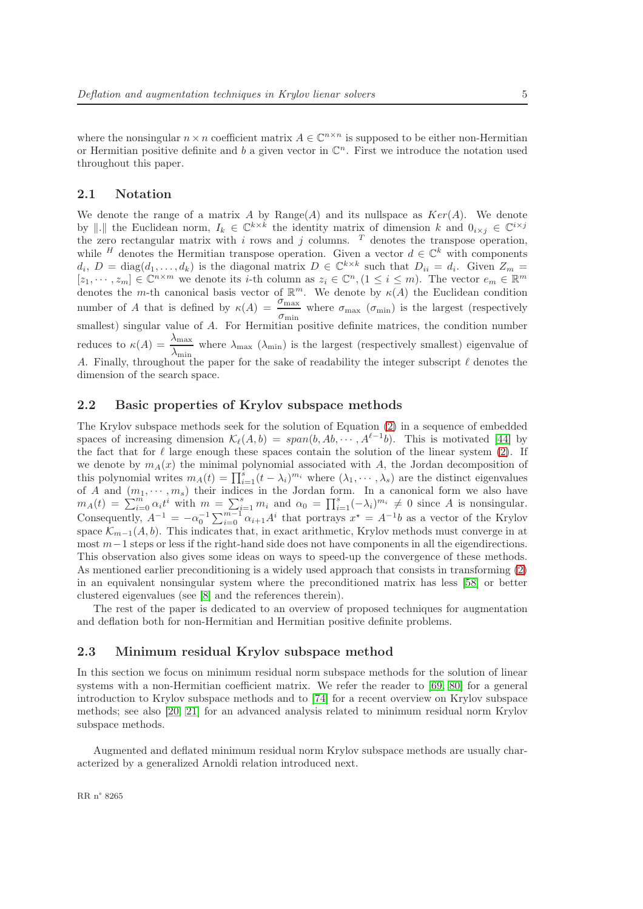#### <span id="page-7-0"></span>2.1 Notation

We denote the range of a matrix A by Range(A) and its nullspace as  $Ker(A)$ . We denote by ||. || the Euclidean norm,  $I_k \in \mathbb{C}^{k \times k}$  the identity matrix of dimension k and  $0_{i \times j} \in \mathbb{C}^{i \times j}$ the zero rectangular matrix with i rows and j columns.  $T$  denotes the transpose operation, while <sup>H</sup> denotes the Hermitian transpose operation. Given a vector  $d \in \mathbb{C}^k$  with components  $d_i, D = \text{diag}(d_1, \ldots, d_k)$  is the diagonal matrix  $D \in \mathbb{C}^{k \times k}$  such that  $D_{ii} = d_i$ . Given  $Z_m =$  $[z_1,\dots, z_m] \in \mathbb{C}^{n \times m}$  we denote its *i*-th column as  $z_i \in \mathbb{C}^n$ ,  $(1 \leq i \leq m)$ . The vector  $e_m \in \mathbb{R}^m$ denotes the m-th canonical basis vector of  $\mathbb{R}^m$ . We denote by  $\kappa(A)$  the Euclidean condition number of A that is defined by  $\kappa(A) = \frac{\sigma_{\text{max}}}{\sigma_{\text{min}}}$  where  $\sigma_{\text{max}}(\sigma_{\text{min}})$  is the largest (respectively smallest) singular value of A. For Hermitian positive definite matrices, the condition number reduces to  $\kappa(A) = \frac{\lambda_{\text{max}}}{\lambda_{\text{min}}}$ , where  $\lambda_{\text{max}}(\lambda_{\text{min}})$  is the largest (respectively smallest) eigenvalue of A. Finally, throughout the paper for the sake of readability the integer subscript  $\ell$  denotes the dimension of the search space.

#### <span id="page-7-1"></span>2.2 Basic properties of Krylov subspace methods

The Krylov subspace methods seek for the solution of Equation [\(2\)](#page-6-2) in a sequence of embedded spaces of increasing dimension  $\mathcal{K}_{\ell}(A,b) = span(b, Ab, \cdots, A^{\ell-1}b)$ . This is motivated [\[44\]](#page-25-1) by the fact that for  $\ell$  large enough these spaces contain the solution of the linear system [\(2\)](#page-6-2). If we denote by  $m_A(x)$  the minimal polynomial associated with A, the Jordan decomposition of this polynomial writes  $m_A(t) = \prod_{i=1}^s (t - \lambda_i)^{m_i}$  where  $(\lambda_1, \dots, \lambda_s)$  are the distinct eigenvalues of A and  $(m_1, \dots, m_s)$  their indices in the Jordan form. In a canonical form we also have  $m_A(t) = \sum_{i=0}^m \alpha_i t^i$  with  $m = \sum_{i=1}^s m_i$  and  $\alpha_0 = \prod_{i=1}^s (-\lambda_i)^{m_i} \neq 0$  since A is nonsingular. Consequently,  $A^{-1} = -\alpha_0^{-1} \sum_{i=0}^{m-1} \alpha_{i+1} A^i$  that portrays  $x^* = A^{-1}b$  as a vector of the Krylov space  $\mathcal{K}_{m-1}(A, b)$ . This indicates that, in exact arithmetic, Krylov methods must converge in at most  $m-1$  steps or less if the right-hand side does not have components in all the eigendirections. This observation also gives some ideas on ways to speed-up the convergence of these methods. As mentioned earlier preconditioning is a widely used approach that consists in transforming [\(2\)](#page-6-2) in an equivalent nonsingular system where the preconditioned matrix has less [\[58\]](#page-26-3) or better clustered eigenvalues (see [\[8\]](#page-23-1) and the references therein).

The rest of the paper is dedicated to an overview of proposed techniques for augmentation and deflation both for non-Hermitian and Hermitian positive definite problems.

#### <span id="page-7-2"></span>2.3 Minimum residual Krylov subspace method

In this section we focus on minimum residual norm subspace methods for the solution of linear systems with a non-Hermitian coefficient matrix. We refer the reader to [\[69,](#page-26-0) [80\]](#page-27-0) for a general introduction to Krylov subspace methods and to [\[74\]](#page-27-1) for a recent overview on Krylov subspace methods; see also [\[20,](#page-24-1) [21\]](#page-24-2) for an advanced analysis related to minimum residual norm Krylov subspace methods.

Augmented and deflated minimum residual norm Krylov subspace methods are usually characterized by a generalized Arnoldi relation introduced next.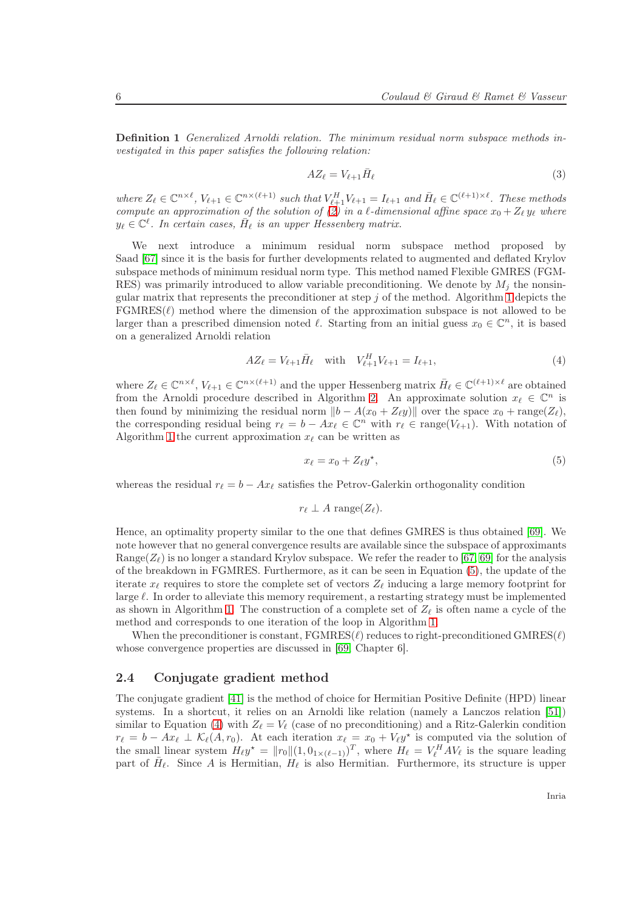Definition 1 Generalized Arnoldi relation. The minimum residual norm subspace methods investigated in this paper satisfies the following relation:

<span id="page-8-3"></span>
$$
AZ_{\ell} = V_{\ell+1}\bar{H}_{\ell} \tag{3}
$$

where  $Z_{\ell} \in \mathbb{C}^{n \times \ell}$ ,  $V_{\ell+1} \in \mathbb{C}^{n \times (\ell+1)}$  such that  $V_{\ell+1}^H V_{\ell+1} = I_{\ell+1}$  and  $\bar{H}_{\ell} \in \mathbb{C}^{(\ell+1) \times \ell}$ . These methods compute an approximation of the solution of [\(2\)](#page-6-2) in a  $\ell$ -dimensional affine space  $x_0 + Z_{\ell} y_{\ell}$  where  $y_{\ell} \in \mathbb{C}^{\ell}$ . In certain cases,  $\bar{H}_{\ell}$  is an upper Hessenberg matrix.

We next introduce a minimum residual norm subspace method proposed by Saad [\[67\]](#page-26-4) since it is the basis for further developments related to augmented and deflated Krylov subspace methods of minimum residual norm type. This method named Flexible GMRES (FGM-RES) was primarily introduced to allow variable preconditioning. We denote by  $M_i$  the nonsingular matrix that represents the preconditioner at step  $j$  of the method. Algorithm [1](#page-9-0) depicts the  $FGMRES(\ell)$  method where the dimension of the approximation subspace is not allowed to be larger than a prescribed dimension noted  $\ell$ . Starting from an initial guess  $x_0 \in \mathbb{C}^n$ , it is based on a generalized Arnoldi relation

<span id="page-8-2"></span>
$$
AZ_{\ell} = V_{\ell+1}\bar{H}_{\ell} \quad \text{with} \quad V_{\ell+1}^H V_{\ell+1} = I_{\ell+1},\tag{4}
$$

where  $Z_{\ell} \in \mathbb{C}^{n \times \ell}$ ,  $V_{\ell+1} \in \mathbb{C}^{n \times (\ell+1)}$  and the upper Hessenberg matrix  $\bar{H}_{\ell} \in \mathbb{C}^{(\ell+1) \times \ell}$  are obtained from the Arnoldi procedure described in Algorithm [2.](#page-9-1) An approximate solution  $x_{\ell} \in \mathbb{C}^n$  is then found by minimizing the residual norm  $||b - A(x_0 + Z_\ell y)||$  over the space  $x_0 + \text{range}(Z_\ell)$ , the corresponding residual being  $r_{\ell} = b - Ax_{\ell} \in \mathbb{C}^n$  with  $r_{\ell} \in \text{range}(V_{\ell+1})$ . With notation of Algorithm [1](#page-9-0) the current approximation  $x_{\ell}$  can be written as

<span id="page-8-1"></span>
$$
x_{\ell} = x_0 + Z_{\ell} y^*,\tag{5}
$$

whereas the residual  $r_{\ell} = b - Ax_{\ell}$  satisfies the Petrov-Galerkin orthogonality condition

$$
r_{\ell} \perp A \; \text{range}(Z_{\ell}).
$$

Hence, an optimality property similar to the one that defines GMRES is thus obtained [\[69\]](#page-26-0). We note however that no general convergence results are available since the subspace of approximants Range( $Z_{\ell}$ ) is no longer a standard Krylov subspace. We refer the reader to [\[67,](#page-26-4) [69\]](#page-26-0) for the analysis of the breakdown in FGMRES. Furthermore, as it can be seen in Equation [\(5\)](#page-8-1), the update of the iterate  $x_{\ell}$  requires to store the complete set of vectors  $Z_{\ell}$  inducing a large memory footprint for large  $\ell$ . In order to alleviate this memory requirement, a restarting strategy must be implemented as shown in Algorithm [1.](#page-9-0) The construction of a complete set of  $Z_{\ell}$  is often name a cycle of the method and corresponds to one iteration of the loop in Algorithm [1.](#page-9-0)

When the preconditioner is constant,  $\text{FGMRES}(\ell)$  reduces to right-preconditioned  $\text{GMRES}(\ell)$ whose convergence properties are discussed in [\[69,](#page-26-0) Chapter 6].

#### <span id="page-8-0"></span>2.4 Conjugate gradient method

The conjugate gradient [\[41\]](#page-25-2) is the method of choice for Hermitian Positive Definite (HPD) linear systems. In a shortcut, it relies on an Arnoldi like relation (namely a Lanczos relation [\[51\]](#page-25-3)) similar to Equation [\(4\)](#page-8-2) with  $Z_{\ell} = V_{\ell}$  (case of no preconditioning) and a Ritz-Galerkin condition  $r_{\ell} = b - Ax_{\ell} \perp K_{\ell}(A, r_0)$ . At each iteration  $x_{\ell} = x_0 + V_{\ell}y^*$  is computed via the solution of the small linear system  $H_{\ell}y^* = ||r_0|| (1, 0_{1 \times (\ell-1)})^T$ , where  $H_{\ell} = V_{\ell}^H A V_{\ell}$  is the square leading part of  $\bar{H}_{\ell}$ . Since A is Hermitian,  $H_{\ell}$  is also Hermitian. Furthermore, its structure is upper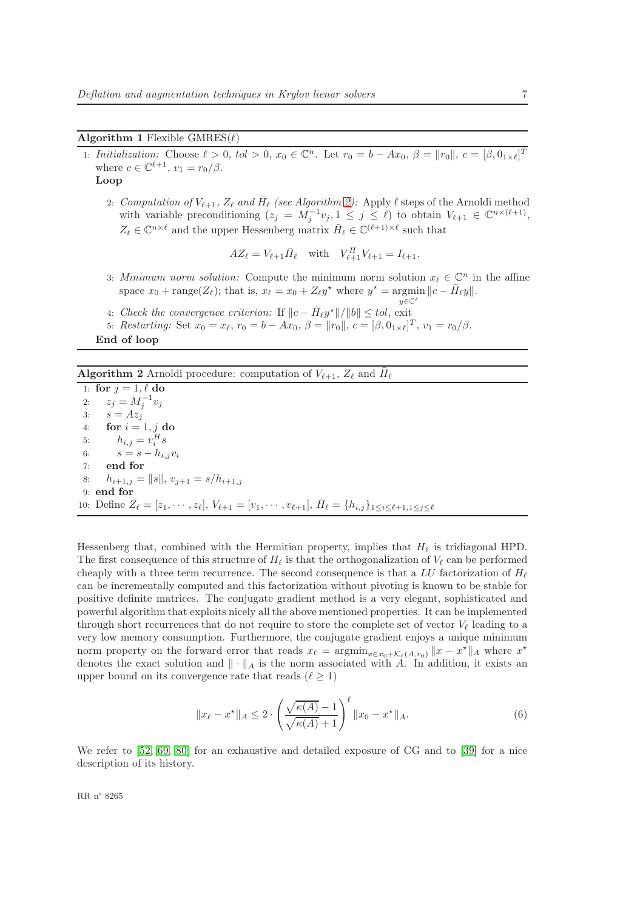#### <span id="page-9-0"></span>Algorithm 1 Flexible  $GMRES(\ell)$

1: Initialization: Choose  $\ell > 0$ , tol  $> 0$ ,  $x_0 \in \mathbb{C}^n$ . Let  $r_0 = b - Ax_0$ ,  $\beta = ||r_0||$ ,  $c = [\beta, 0_{1 \times \ell}]^T$ where  $c \in \mathbb{C}^{\ell+1}$ ,  $v_1 = r_0/\beta$ .

Loop

- 2: Computation of  $V_{\ell+1}$ ,  $Z_{\ell}$  and  $\bar{H}_{\ell}$  (see Algorithm [2\)](#page-9-1): Apply  $\ell$  steps of the Arnoldi method with variable preconditioning  $(z_j = M_j^{-1}v_j, 1 \leq j \leq \ell)$  to obtain  $V_{\ell+1} \in \mathbb{C}^{n \times (\ell+1)}$ ,  $Z_{\ell} \in \mathbb{C}^{n \times \ell}$  and the upper Hessenberg matrix  $\bar{H}_{\ell} \in \mathbb{C}^{(\ell+1) \times \ell}$  such that
	- $AZ_{\ell} = V_{\ell+1} \bar{H}_{\ell}$  with  $V_{\ell+1}^H V_{\ell+1} = I_{\ell+1}$ .
- 3: Minimum norm solution: Compute the minimum norm solution  $x_{\ell} \in \mathbb{C}^n$  in the affine space  $x_0 + \text{range}(Z_\ell)$ ; that is,  $x_\ell = x_0 + Z_\ell y^*$  where  $y^* = \text{argmin} ||c - \bar{H}_\ell y||$ .  $y \in \mathbb{C}^{\ell}$
- 4: Check the convergence criterion: If  $||c \bar{H}_{\ell} y^*||/||b|| \leq tol$ , exit
- 5: Restarting: Set  $x_0 = x_\ell, r_0 = b Ax_0, \ \beta = ||r_0||, \ c = [\beta, 0_{1 \times \ell}]^T, \ v_1 = r_0/\beta.$

End of loop

## <span id="page-9-1"></span>**Algorithm 2** Arnoldi procedure: computation of  $V_{\ell+1}$ ,  $Z_{\ell}$  and  $\bar{H}_{\ell}$

1: for  $j = 1, \ell$  do 2:  $z_j = M_j^{-1} v_j$ 3:  $s = Az_j$ 4: for  $i = 1, j$  do 5:  $h_{i,j} = v_i^H s$ 6:  $s = s - h_{i,j}v_i$ 7: end for 8:  $h_{i+1,j} = ||s||, v_{j+1} = s/h_{i+1,j}$ 9: end for 10: Define  $Z_{\ell} = [z_1, \cdots, z_{\ell}], V_{\ell+1} = [v_1, \cdots, v_{\ell+1}], \bar{H}_{\ell} = \{h_{i,j}\}_{1 \leq i \leq \ell+1, 1 \leq j \leq \ell+1}$ 

Hessenberg that, combined with the Hermitian property, implies that  $H_{\ell}$  is tridiagonal HPD. The first consequence of this structure of  $H_{\ell}$  is that the orthogonalization of  $V_{\ell}$  can be performed cheaply with a three term recurrence. The second consequence is that a LU factorization of  $H_{\ell}$ can be incrementally computed and this factorization without pivoting is known to be stable for positive definite matrices. The conjugate gradient method is a very elegant, sophisticated and powerful algorithm that exploits nicely all the above mentioned properties. It can be implemented through short recurrences that do not require to store the complete set of vector  $V_{\ell}$  leading to a very low memory consumption. Furthermore, the conjugate gradient enjoys a unique minimum norm property on the forward error that reads  $x_{\ell} = \operatorname{argmin}_{x \in x_0 + \mathcal{K}_{\ell}(A,r_0)} \|x - x^*\|_A$  where  $x^*$ denotes the exact solution and  $\|\cdot\|_A$  is the norm associated with A. In addition, it exists an upper bound on its convergence rate that reads  $(\ell \geq 1)$ 

$$
||x_{\ell} - x^*||_A \le 2 \cdot \left(\frac{\sqrt{\kappa(A)} - 1}{\sqrt{\kappa(A)} + 1}\right)^{\ell} ||x_0 - x^*||_A.
$$
 (6)

We refer to  $[52, 69, 80]$  $[52, 69, 80]$  $[52, 69, 80]$  for an exhaustive and detailed exposure of CG and to  $[39]$  for a nice description of its history.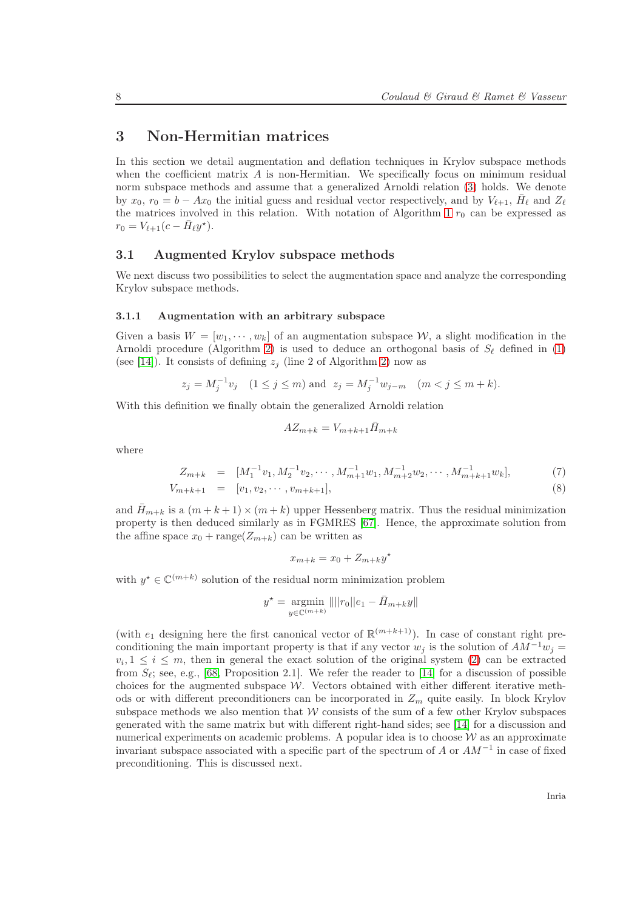## <span id="page-10-0"></span>3 Non-Hermitian matrices

In this section we detail augmentation and deflation techniques in Krylov subspace methods when the coefficient matrix  $\vec{A}$  is non-Hermitian. We specifically focus on minimum residual norm subspace methods and assume that a generalized Arnoldi relation [\(3\)](#page-8-3) holds. We denote by  $x_0$ ,  $r_0 = b - Ax_0$  the initial guess and residual vector respectively, and by  $V_{\ell+1}$ ,  $\bar{H}_{\ell}$  and  $Z_{\ell}$ the matrices involved in this relation. With notation of Algorithm [1](#page-9-0)  $r_0$  can be expressed as  $r_0 = V_{\ell+1}(c - \bar{H}_{\ell}y^*).$ 

#### <span id="page-10-1"></span>3.1 Augmented Krylov subspace methods

We next discuss two possibilities to select the augmentation space and analyze the corresponding Krylov subspace methods.

#### <span id="page-10-2"></span>3.1.1 Augmentation with an arbitrary subspace

Given a basis  $W = [w_1, \dots, w_k]$  of an augmentation subspace W, a slight modification in the Arnoldi procedure (Algorithm [2\)](#page-9-1) is used to deduce an orthogonal basis of  $S_\ell$  defined in [\(1\)](#page-6-3) (see [\[14\]](#page-23-2)). It consists of defining  $z_i$  (line 2 of Algorithm [2\)](#page-9-1) now as

$$
z_j = M_j^{-1}v_j
$$
  $(1 \le j \le m)$  and  $z_j = M_j^{-1}w_{j-m}$   $(m < j \le m+k)$ .

With this definition we finally obtain the generalized Arnoldi relation

$$
AZ_{m+k} = V_{m+k+1} \bar{H}_{m+k}
$$

where

$$
Z_{m+k} = [M_1^{-1}v_1, M_2^{-1}v_2, \cdots, M_{m+1}^{-1}w_1, M_{m+2}^{-1}w_2, \cdots, M_{m+k+1}^{-1}w_k],
$$
(7)

$$
V_{m+k+1} = [v_1, v_2, \cdots, v_{m+k+1}], \tag{8}
$$

and  $H_{m+k}$  is a  $(m+k+1) \times (m+k)$  upper Hessenberg matrix. Thus the residual minimization property is then deduced similarly as in FGMRES [\[67\]](#page-26-4). Hence, the approximate solution from the affine space  $x_0 + \text{range}(Z_{m+k})$  can be written as

$$
x_{m+k} = x_0 + Z_{m+k}y^*
$$

with  $y^* \in \mathbb{C}^{(m+k)}$  solution of the residual norm minimization problem

$$
y^* = \underset{y \in \mathbb{C}^{(m+k)}}{\text{argmin}} || ||r_0||e_1 - \bar{H}_{m+k}y||
$$

(with  $e_1$  designing here the first canonical vector of  $\mathbb{R}^{(m+k+1)}$ ). In case of constant right preconditioning the main important property is that if any vector  $w_j$  is the solution of  $AM^{-1}w_j =$  $v_i, 1 \leq i \leq m$ , then in general the exact solution of the original system [\(2\)](#page-6-2) can be extracted from  $S_{\ell}$ ; see, e.g., [\[68,](#page-26-5) Proposition 2.1]. We refer the reader to [\[14\]](#page-23-2) for a discussion of possible choices for the augmented subspace  $\mathcal W$ . Vectors obtained with either different iterative methods or with different preconditioners can be incorporated in  $Z_m$  quite easily. In block Krylov subspace methods we also mention that  $W$  consists of the sum of a few other Krylov subspaces generated with the same matrix but with different right-hand sides; see [\[14\]](#page-23-2) for a discussion and numerical experiments on academic problems. A popular idea is to choose  $\mathcal W$  as an approximate invariant subspace associated with a specific part of the spectrum of A or  $AM^{-1}$  in case of fixed preconditioning. This is discussed next.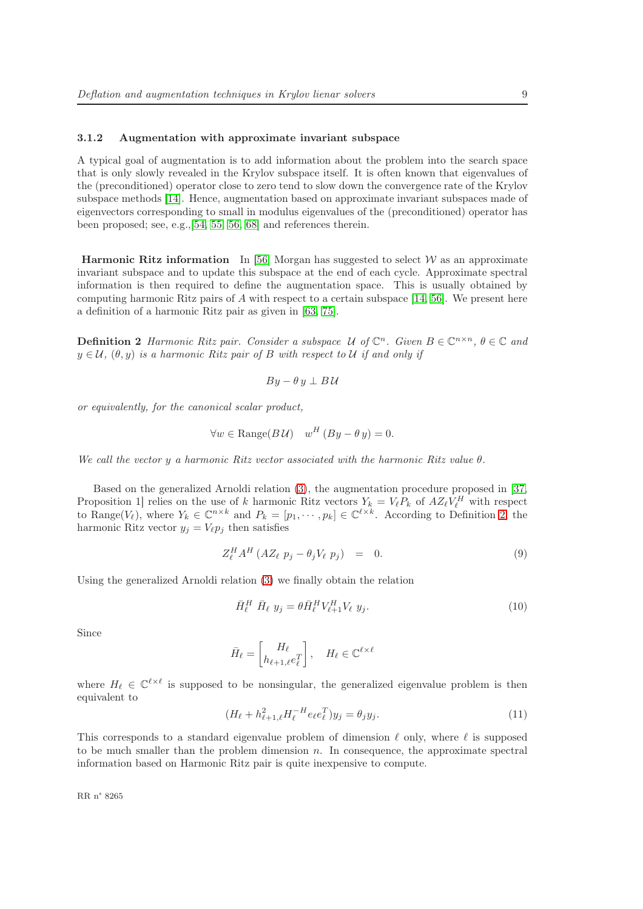#### <span id="page-11-0"></span>3.1.2 Augmentation with approximate invariant subspace

A typical goal of augmentation is to add information about the problem into the search space that is only slowly revealed in the Krylov subspace itself. It is often known that eigenvalues of the (preconditioned) operator close to zero tend to slow down the convergence rate of the Krylov subspace methods [\[14\]](#page-23-2). Hence, augmentation based on approximate invariant subspaces made of eigenvectors corresponding to small in modulus eigenvalues of the (preconditioned) operator has been proposed; see, e.g.,[\[54,](#page-26-6) [55,](#page-26-7) [56,](#page-26-8) [68\]](#page-26-5) and references therein.

**Harmonic Ritz information** In [\[56\]](#page-26-8) Morgan has suggested to select  $W$  as an approximate invariant subspace and to update this subspace at the end of each cycle. Approximate spectral information is then required to define the augmentation space. This is usually obtained by computing harmonic Ritz pairs of A with respect to a certain subspace  $[14, 56]$  $[14, 56]$ . We present here a definition of a harmonic Ritz pair as given in [\[63,](#page-26-9) [75\]](#page-27-2).

<span id="page-11-1"></span>**Definition 2** Harmonic Ritz pair. Consider a subspace U of  $\mathbb{C}^n$ . Given  $B \in \mathbb{C}^{n \times n}$ ,  $\theta \in \mathbb{C}$  and  $y \in \mathcal{U}$ ,  $(\theta, y)$  is a harmonic Ritz pair of B with respect to U if and only if

$$
By - \theta y \perp B\mathcal{U}
$$

or equivalently, for the canonical scalar product,

$$
\forall w \in \text{Range}(B\,\mathcal{U}) \quad w^H\,(By - \theta\,y) = 0.
$$

We call the vector y a harmonic Ritz vector associated with the harmonic Ritz value  $\theta$ .

Based on the generalized Arnoldi relation [\(3\)](#page-8-3), the augmentation procedure proposed in [\[37,](#page-25-6) Proposition 1] relies on the use of k harmonic Ritz vectors  $Y_k = V_\ell P_k$  of  $A Z_\ell V_\ell^H$  with respect to Range( $V_{\ell}$ ), where  $Y_k \in \mathbb{C}^{n \times k}$  and  $P_k = [p_1, \dots, p_k] \in \mathbb{C}^{\ell \times k}$ . According to Definition [2,](#page-11-1) the harmonic Ritz vector  $y_j = V_{\ell} p_j$  then satisfies

$$
Z_{\ell}^H A^H (A Z_{\ell} p_j - \theta_j V_{\ell} p_j) = 0.
$$
 (9)

Using the generalized Arnoldi relation [\(3\)](#page-8-3) we finally obtain the relation

$$
\bar{H}_{\ell}^H \bar{H}_{\ell} y_j = \theta \bar{H}_{\ell}^H V_{\ell+1}^H V_{\ell} y_j.
$$
\n
$$
(10)
$$

Since

$$
\bar{H}_{\ell} = \begin{bmatrix} H_{\ell} \\ h_{\ell+1,\ell} e_{\ell}^T \end{bmatrix}, \quad H_{\ell} \in \mathbb{C}^{\ell \times \ell}
$$

where  $H_{\ell} \in \mathbb{C}^{\ell \times \ell}$  is supposed to be nonsingular, the generalized eigenvalue problem is then equivalent to

$$
(H_{\ell} + h_{\ell+1,\ell}^2 H_{\ell}^{-H} e_{\ell} e_{\ell}^T) y_j = \theta_j y_j.
$$
\n(11)

This corresponds to a standard eigenvalue problem of dimension  $\ell$  only, where  $\ell$  is supposed to be much smaller than the problem dimension  $n$ . In consequence, the approximate spectral information based on Harmonic Ritz pair is quite inexpensive to compute.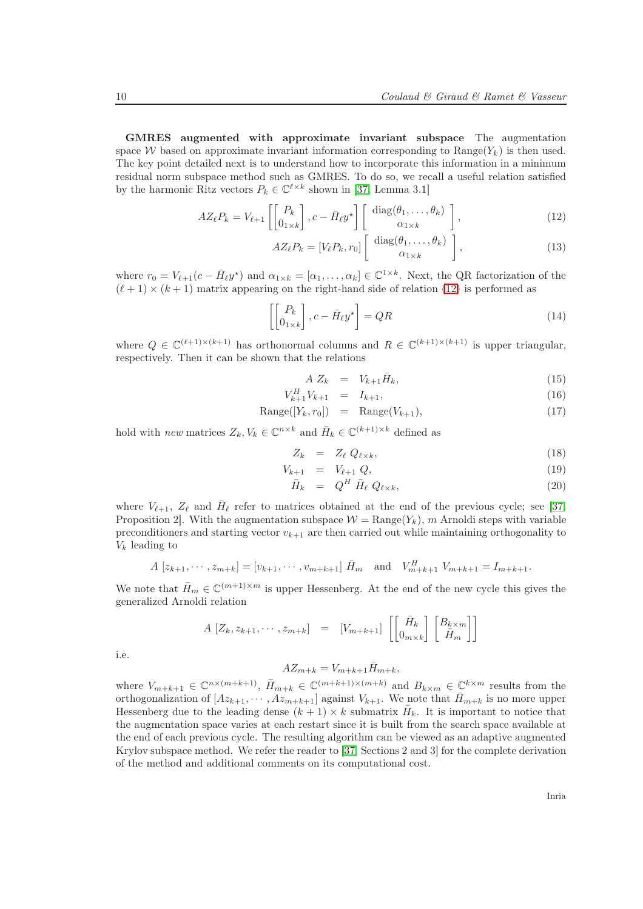GMRES augmented with approximate invariant subspace The augmentation space W based on approximate invariant information corresponding to  $\text{Range}(Y_k)$  is then used. The key point detailed next is to understand how to incorporate this information in a minimum residual norm subspace method such as GMRES. To do so, we recall a useful relation satisfied by the harmonic Ritz vectors  $P_k \in \mathbb{C}^{\ell \times k}$  shown in [\[37,](#page-25-6) Lemma 3.1]

<span id="page-12-0"></span>
$$
AZ_{\ell}P_{k} = V_{\ell+1}\left[\begin{bmatrix} P_{k} \\ 0_{1\times k} \end{bmatrix}, c - \bar{H}_{\ell}y^{\star}\right] \begin{bmatrix} \text{diag}(\theta_{1}, \dots, \theta_{k}) \\ \alpha_{1\times k} \end{bmatrix},\tag{12}
$$

$$
AZ_{\ell}P_{k} = [V_{\ell}P_{k}, r_{0}] \left[ \begin{array}{c} \text{diag}(\theta_{1}, \ldots, \theta_{k}) \\ \alpha_{1 \times k} \end{array} \right], \qquad (13)
$$

where  $r_0 = V_{\ell+1}(c - \bar{H}_{\ell}y^*)$  and  $\alpha_{1 \times k} = [\alpha_1, \ldots, \alpha_k] \in \mathbb{C}^{1 \times k}$ . Next, the QR factorization of the  $(\ell+1) \times (k+1)$  matrix appearing on the right-hand side of relation [\(12\)](#page-12-0) is performed as

$$
\left[ \begin{bmatrix} P_k \\ 0_{1 \times k} \end{bmatrix}, c - \bar{H}_{\ell} y^{\star} \right] = QR \tag{14}
$$

where  $Q \in \mathbb{C}^{(\ell+1)\times (k+1)}$  has orthonormal columns and  $R \in \mathbb{C}^{(k+1)\times (k+1)}$  is upper triangular, respectively. Then it can be shown that the relations

$$
A Z_k = V_{k+1} \bar{H}_k, \tag{15}
$$

$$
V_{k+1}^H V_{k+1} = I_{k+1}, \t\t(16)
$$

$$
Range([Y_k, r_0]) = Range(V_{k+1}), \qquad (17)
$$

hold with *new* matrices  $Z_k, V_k \in \mathbb{C}^{n \times k}$  and  $\bar{H}_k \in \mathbb{C}^{(k+1)\times k}$  defined as

$$
Z_k = Z_\ell Q_{\ell \times k}, \tag{18}
$$

$$
V_{k+1} = V_{\ell+1} Q, \t\t(19)
$$

$$
\bar{H}_k = Q^H \bar{H}_\ell Q_{\ell \times k}, \qquad (20)
$$

where  $V_{\ell+1}$ ,  $Z_{\ell}$  and  $\bar{H}_{\ell}$  refer to matrices obtained at the end of the previous cycle; see [\[37,](#page-25-6) Proposition 2. With the augmentation subspace  $W = \text{Range}(Y_k)$ , m Arnoldi steps with variable preconditioners and starting vector  $v_{k+1}$  are then carried out while maintaining orthogonality to  $V_k$  leading to

$$
A [z_{k+1}, \dots, z_{m+k}] = [v_{k+1}, \dots, v_{m+k+1}] \overline{H}_m
$$
 and  $V_{m+k+1}^H V_{m+k+1} = I_{m+k+1}$ .

We note that  $\bar{H}_m \in \mathbb{C}^{(m+1)\times m}$  is upper Hessenberg. At the end of the new cycle this gives the generalized Arnoldi relation

$$
A\begin{bmatrix} Z_k, z_{k+1}, \cdots, z_{m+k} \end{bmatrix} = \begin{bmatrix} V_{m+k+1} \end{bmatrix} \begin{bmatrix} \bar{H}_k \\ 0_{m \times k} \end{bmatrix} \begin{bmatrix} B_{k \times m} \\ \bar{H}_m \end{bmatrix}
$$

i.e.

$$
AZ_{m+k} = V_{m+k+1}\bar{H}_{m+k},
$$

where  $V_{m+k+1} \in \mathbb{C}^{n \times (m+k+1)}$ ,  $\bar{H}_{m+k} \in \mathbb{C}^{(m+k+1)\times (m+k)}$  and  $B_{k\times m} \in \mathbb{C}^{k\times m}$  results from the orthogonalization of  $[Az_{k+1}, \cdots, Az_{m+k+1}]$  against  $V_{k+1}$ . We note that  $\bar{H}_{m+k}$  is no more upper Hessenberg due to the leading dense  $(k+1) \times k$  submatrix  $\bar{H}_k$ . It is important to notice that the augmentation space varies at each restart since it is built from the search space available at the end of each previous cycle. The resulting algorithm can be viewed as an adaptive augmented Krylov subspace method. We refer the reader to [\[37,](#page-25-6) Sections 2 and 3] for the complete derivation of the method and additional comments on its computational cost.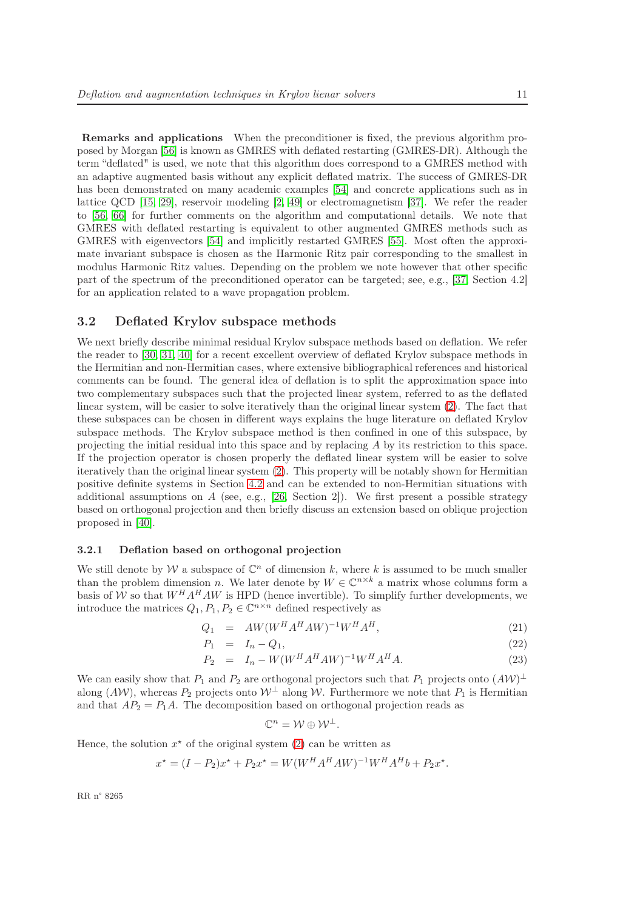Remarks and applications When the preconditioner is fixed, the previous algorithm proposed by Morgan [\[56\]](#page-26-8) is known as GMRES with deflated restarting (GMRES-DR). Although the term "deflated" is used, we note that this algorithm does correspond to a GMRES method with an adaptive augmented basis without any explicit deflated matrix. The success of GMRES-DR has been demonstrated on many academic examples [\[54\]](#page-26-6) and concrete applications such as in lattice QCD [\[15,](#page-23-3) [29\]](#page-24-3), reservoir modeling [\[2,](#page-22-1) [49\]](#page-25-7) or electromagnetism [\[37\]](#page-25-6). We refer the reader to [\[56,](#page-26-8) [66\]](#page-26-10) for further comments on the algorithm and computational details. We note that GMRES with deflated restarting is equivalent to other augmented GMRES methods such as GMRES with eigenvectors [\[54\]](#page-26-6) and implicitly restarted GMRES [\[55\]](#page-26-7). Most often the approximate invariant subspace is chosen as the Harmonic Ritz pair corresponding to the smallest in modulus Harmonic Ritz values. Depending on the problem we note however that other specific part of the spectrum of the preconditioned operator can be targeted; see, e.g., [\[37,](#page-25-6) Section 4.2] for an application related to a wave propagation problem.

#### <span id="page-13-0"></span>3.2 Deflated Krylov subspace methods

We next briefly describe minimal residual Krylov subspace methods based on deflation. We refer the reader to [\[30,](#page-24-4) [31,](#page-24-5) [40\]](#page-25-0) for a recent excellent overview of deflated Krylov subspace methods in the Hermitian and non-Hermitian cases, where extensive bibliographical references and historical comments can be found. The general idea of deflation is to split the approximation space into two complementary subspaces such that the projected linear system, referred to as the deflated linear system, will be easier to solve iteratively than the original linear system [\(2\)](#page-6-2). The fact that these subspaces can be chosen in different ways explains the huge literature on deflated Krylov subspace methods. The Krylov subspace method is then confined in one of this subspace, by projecting the initial residual into this space and by replacing A by its restriction to this space. If the projection operator is chosen properly the deflated linear system will be easier to solve iteratively than the original linear system [\(2\)](#page-6-2). This property will be notably shown for Hermitian positive definite systems in Section [4.2](#page-20-0) and can be extended to non-Hermitian situations with additional assumptions on  $A$  (see, e.g., [\[26,](#page-24-6) Section 2]). We first present a possible strategy based on orthogonal projection and then briefly discuss an extension based on oblique projection proposed in [\[40\]](#page-25-0).

#### <span id="page-13-1"></span>3.2.1 Deflation based on orthogonal projection

We still denote by W a subspace of  $\mathbb{C}^n$  of dimension k, where k is assumed to be much smaller than the problem dimension n. We later denote by  $W \in \mathbb{C}^{n \times k}$  a matrix whose columns form a basis of W so that  $W^H A^H A W$  is HPD (hence invertible). To simplify further developments, we introduce the matrices  $Q_1, P_1, P_2 \in \mathbb{C}^{n \times n}$  defined respectively as

$$
Q_1 = AW(W^H A^H A W)^{-1} W^H A^H,
$$
\n(21)

$$
P_1 = I_n - Q_1,\tag{22}
$$

$$
P_2 = I_n - W(W^H A^H A W)^{-1} W^H A^H A.
$$
\n(23)

We can easily show that  $P_1$  and  $P_2$  are orthogonal projectors such that  $P_1$  projects onto  $(AW)^{\perp}$ along (AW), whereas  $P_2$  projects onto  $W^{\perp}$  along W. Furthermore we note that  $P_1$  is Hermitian and that  $AP_2 = P_1A$ . The decomposition based on orthogonal projection reads as

$$
\mathbb{C}^n = \mathcal{W} \oplus \mathcal{W}^{\perp}.
$$

Hence, the solution  $x^*$  of the original system [\(2\)](#page-6-2) can be written as

$$
x^* = (I - P_2)x^* + P_2x^* = W(W^H A^H A W)^{-1} W^H A^H b + P_2 x^*.
$$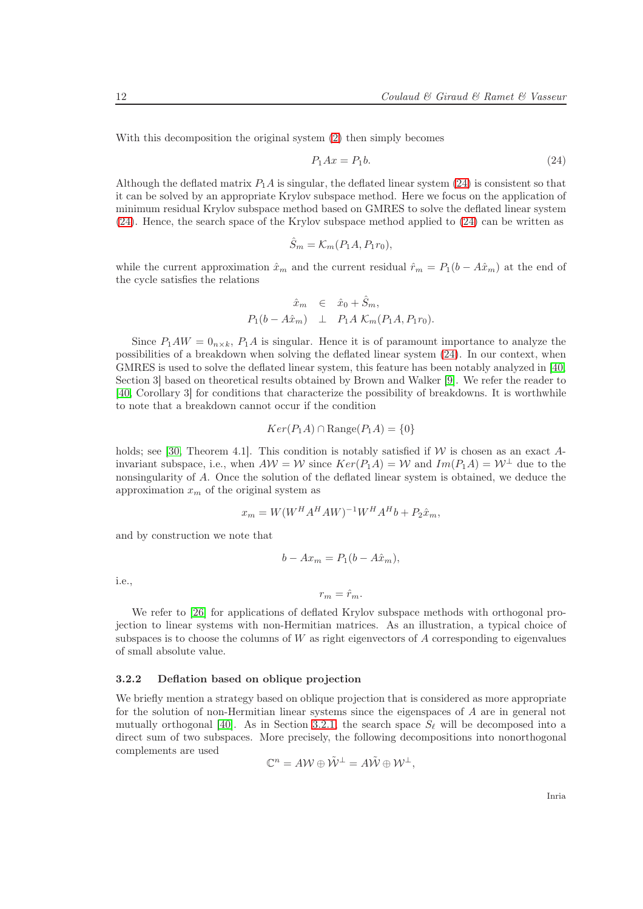With this decomposition the original system [\(2\)](#page-6-2) then simply becomes

<span id="page-14-1"></span>
$$
P_1Ax = P_1b.\t\t(24)
$$

Although the deflated matrix  $P_1A$  is singular, the deflated linear system [\(24\)](#page-14-1) is consistent so that it can be solved by an appropriate Krylov subspace method. Here we focus on the application of minimum residual Krylov subspace method based on GMRES to solve the deflated linear system [\(24\)](#page-14-1). Hence, the search space of the Krylov subspace method applied to [\(24\)](#page-14-1) can be written as

$$
\hat{S}_m = \mathcal{K}_m(P_1 A, P_1 r_0),
$$

while the current approximation  $\hat{x}_m$  and the current residual  $\hat{r}_m = P_1(b - A\hat{x}_m)$  at the end of the cycle satisfies the relations

$$
\hat{x}_m \in \hat{x}_0 + \hat{S}_m,
$$
  
\n
$$
P_1(b - A\hat{x}_m) \perp P_1 A \mathcal{K}_m(P_1 A, P_1 r_0).
$$

Since  $P_1AW = 0_{n \times k}$ ,  $P_1A$  is singular. Hence it is of paramount importance to analyze the possibilities of a breakdown when solving the deflated linear system [\(24\)](#page-14-1). In our context, when GMRES is used to solve the deflated linear system, this feature has been notably analyzed in [\[40,](#page-25-0) Section 3] based on theoretical results obtained by Brown and Walker [\[9\]](#page-23-4). We refer the reader to [\[40,](#page-25-0) Corollary 3] for conditions that characterize the possibility of breakdowns. It is worthwhile to note that a breakdown cannot occur if the condition

$$
Ker(P_1A) \cap \text{Range}(P_1A) = \{0\}
$$

holds; see [\[30,](#page-24-4) Theorem 4.1]. This condition is notably satisfied if  $W$  is chosen as an exact Ainvariant subspace, i.e., when  $AW = W$  since  $Ker(P_1A) = W$  and  $Im(P_1A) = W^{\perp}$  due to the nonsingularity of A. Once the solution of the deflated linear system is obtained, we deduce the approximation  $x_m$  of the original system as

$$
x_m = W(W^H A^H A W)^{-1} W^H A^H b + P_2 \hat{x}_m,
$$

and by construction we note that

$$
b - Ax_m = P_1(b - A\hat{x}_m),
$$

i.e.,

$$
r_m=\hat{r}_m.
$$

We refer to [\[26\]](#page-24-6) for applications of deflated Krylov subspace methods with orthogonal projection to linear systems with non-Hermitian matrices. As an illustration, a typical choice of subspaces is to choose the columns of  $W$  as right eigenvectors of  $A$  corresponding to eigenvalues of small absolute value.

#### <span id="page-14-0"></span>3.2.2 Deflation based on oblique projection

We briefly mention a strategy based on oblique projection that is considered as more appropriate for the solution of non-Hermitian linear systems since the eigenspaces of A are in general not mutually orthogonal [\[40\]](#page-25-0). As in Section [3.2.1,](#page-13-1) the search space  $S_{\ell}$  will be decomposed into a direct sum of two subspaces. More precisely, the following decompositions into nonorthogonal complements are used

$$
\mathbb{C}^n = A \mathcal{W} \oplus \tilde{\mathcal{W}}^{\perp} = A \tilde{\mathcal{W}} \oplus \mathcal{W}^{\perp},
$$

Inria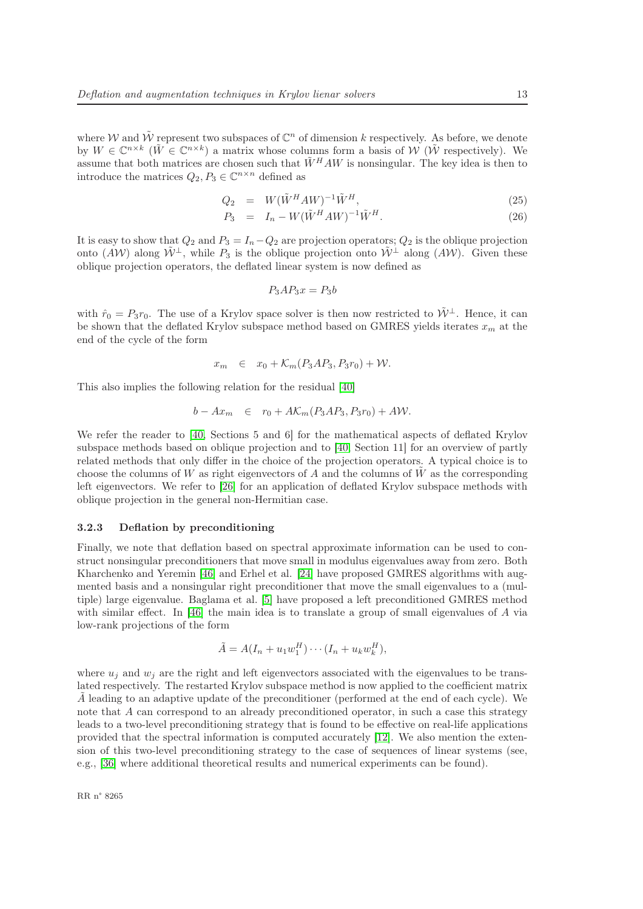where W and  $\tilde{W}$  represent two subspaces of  $\mathbb{C}^n$  of dimension k respectively. As before, we denote by  $W \in \mathbb{C}^{n \times k}$  ( $\tilde{W} \in \mathbb{C}^{n \times k}$ ) a matrix whose columns form a basis of  $W$  ( $\tilde{W}$  respectively). We assume that both matrices are chosen such that  $\tilde{W}^H A W$  is nonsingular. The key idea is then to introduce the matrices  $Q_2, P_3 \in \mathbb{C}^{n \times n}$  defined as

$$
Q_2 = W(\tilde{W}^H A W)^{-1} \tilde{W}^H,
$$
\n
$$
(25)
$$

$$
P_3 = I_n - W(\tilde{W}^H A W)^{-1} \tilde{W}^H.
$$
\n
$$
(26)
$$

It is easy to show that  $Q_2$  and  $P_3 = I_n - Q_2$  are projection operators;  $Q_2$  is the oblique projection onto  $(A\mathcal{W})$  along  $\tilde{\mathcal{W}}^{\perp}$ , while  $P_3$  is the oblique projection onto  $\tilde{\mathcal{W}}^{\perp}$  along  $(A\mathcal{W})$ . Given these oblique projection operators, the deflated linear system is now defined as

$$
P_3AP_3x = P_3b
$$

with  $\hat{r}_0 = P_3r_0$ . The use of a Krylov space solver is then now restricted to  $\tilde{W}^{\perp}$ . Hence, it can be shown that the deflated Krylov subspace method based on GMRES yields iterates  $x<sub>m</sub>$  at the end of the cycle of the form

$$
x_m \in x_0 + \mathcal{K}_m(P_3AP_3, P_3r_0) + \mathcal{W}.
$$

This also implies the following relation for the residual [\[40\]](#page-25-0)

$$
b - Ax_m \in r_0 + A\mathcal{K}_m(P_3AP_3, P_3r_0) + AW.
$$

We refer the reader to [\[40,](#page-25-0) Sections 5 and 6] for the mathematical aspects of deflated Krylov subspace methods based on oblique projection and to [\[40,](#page-25-0) Section 11] for an overview of partly related methods that only differ in the choice of the projection operators. A typical choice is to choose the columns of W as right eigenvectors of A and the columns of  $\hat{W}$  as the corresponding left eigenvectors. We refer to [\[26\]](#page-24-6) for an application of deflated Krylov subspace methods with oblique projection in the general non-Hermitian case.

#### <span id="page-15-0"></span>3.2.3 Deflation by preconditioning

Finally, we note that deflation based on spectral approximate information can be used to construct nonsingular preconditioners that move small in modulus eigenvalues away from zero. Both Kharchenko and Yeremin [\[46\]](#page-25-8) and Erhel et al. [\[24\]](#page-24-7) have proposed GMRES algorithms with augmented basis and a nonsingular right preconditioner that move the small eigenvalues to a (multiple) large eigenvalue. Baglama et al. [\[5\]](#page-23-5) have proposed a left preconditioned GMRES method with similar effect. In [\[46\]](#page-25-8) the main idea is to translate a group of small eigenvalues of A via low-rank projections of the form

$$
\tilde{A} = A(I_n + u_1 w_1^H) \cdots (I_n + u_k w_k^H),
$$

where  $u_i$  and  $w_j$  are the right and left eigenvectors associated with the eigenvalues to be translated respectively. The restarted Krylov subspace method is now applied to the coefficient matrix A leading to an adaptive update of the preconditioner (performed at the end of each cycle). We note that A can correspond to an already preconditioned operator, in such a case this strategy leads to a two-level preconditioning strategy that is found to be effective on real-life applications provided that the spectral information is computed accurately [\[12\]](#page-23-6). We also mention the extension of this two-level preconditioning strategy to the case of sequences of linear systems (see, e.g., [\[36\]](#page-25-9) where additional theoretical results and numerical experiments can be found).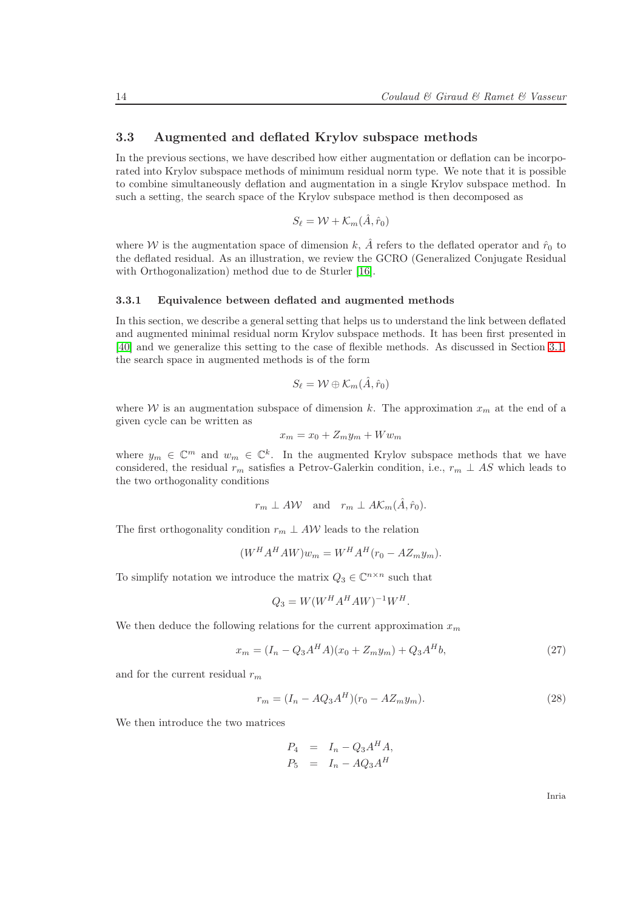#### <span id="page-16-0"></span>3.3 Augmented and deflated Krylov subspace methods

In the previous sections, we have described how either augmentation or deflation can be incorporated into Krylov subspace methods of minimum residual norm type. We note that it is possible to combine simultaneously deflation and augmentation in a single Krylov subspace method. In such a setting, the search space of the Krylov subspace method is then decomposed as

$$
S_{\ell} = \mathcal{W} + \mathcal{K}_m(\hat{A}, \hat{r}_0)
$$

where W is the augmentation space of dimension k,  $\hat{A}$  refers to the deflated operator and  $\hat{r}_0$  to the deflated residual. As an illustration, we review the GCRO (Generalized Conjugate Residual with Orthogonalization) method due to de Sturler [\[16\]](#page-23-7).

#### <span id="page-16-1"></span>3.3.1 Equivalence between deflated and augmented methods

In this section, we describe a general setting that helps us to understand the link between deflated and augmented minimal residual norm Krylov subspace methods. It has been first presented in [\[40\]](#page-25-0) and we generalize this setting to the case of flexible methods. As discussed in Section [3.1,](#page-10-1) the search space in augmented methods is of the form

$$
S_{\ell} = \mathcal{W} \oplus \mathcal{K}_m(\hat{A}, \hat{r}_0)
$$

where W is an augmentation subspace of dimension k. The approximation  $x_m$  at the end of a given cycle can be written as

$$
x_m = x_0 + Z_m y_m + W w_m
$$

where  $y_m \in \mathbb{C}^m$  and  $w_m \in \mathbb{C}^k$ . In the augmented Krylov subspace methods that we have considered, the residual  $r_m$  satisfies a Petrov-Galerkin condition, i.e.,  $r_m \perp AS$  which leads to the two orthogonality conditions

$$
r_m \perp AW
$$
 and  $r_m \perp AK_m(\hat{A}, \hat{r}_0)$ .

The first orthogonality condition  $r_m \perp AW$  leads to the relation

$$
(WH AH A W) wm = WH AH (r0 - A Zm ym).
$$

To simplify notation we introduce the matrix  $Q_3 \in \mathbb{C}^{n \times n}$  such that

$$
Q_3 = W(W^H A^H A W)^{-1} W^H.
$$

We then deduce the following relations for the current approximation  $x_m$ 

$$
x_m = (I_n - Q_3 A^H A)(x_0 + Z_m y_m) + Q_3 A^H b,
$$
\n(27)

and for the current residual  $r_m$ 

<span id="page-16-3"></span>
$$
r_m = (I_n - AQ_3A^H)(r_0 - AZ_my_m). \tag{28}
$$

We then introduce the two matrices

$$
P_4 = I_n - Q_3 A^H A,
$$
  

$$
P_5 = I_n - A Q_3 A^H
$$

<span id="page-16-2"></span>Inria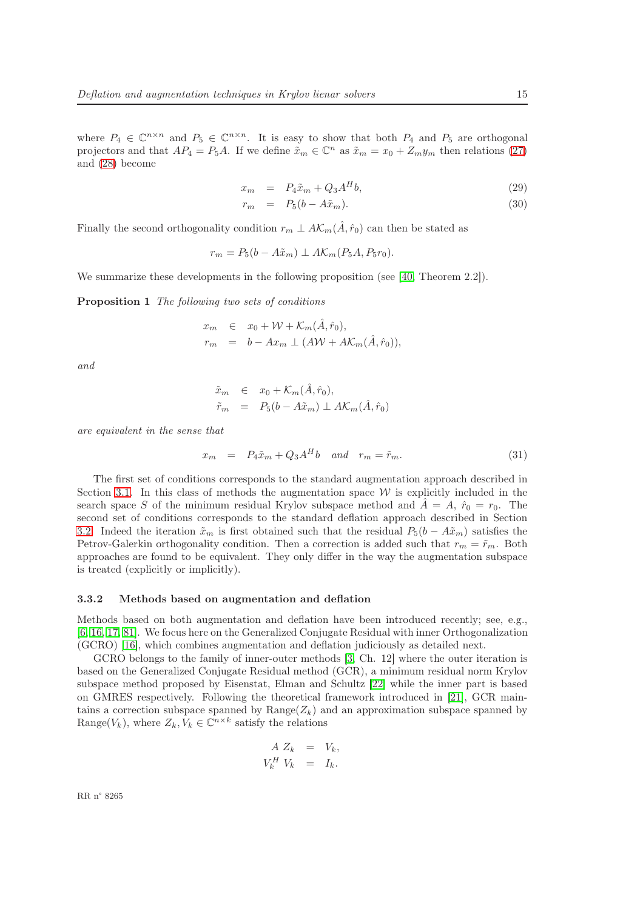where  $P_4 \in \mathbb{C}^{n \times n}$  and  $P_5 \in \mathbb{C}^{n \times n}$ . It is easy to show that both  $P_4$  and  $P_5$  are orthogonal projectors and that  $AP_4 = P_5A$ . If we define  $\tilde{x}_m \in \mathbb{C}^n$  as  $\tilde{x}_m = x_0 + Z_m y_m$  then relations [\(27\)](#page-16-2) and [\(28\)](#page-16-3) become

$$
x_m = P_4 \tilde{x}_m + Q_3 A^H b,\tag{29}
$$

$$
r_m = P_5(b - A\tilde{x}_m). \tag{30}
$$

Finally the second orthogonality condition  $r_m \perp AK_m(\hat{A}, \hat{r}_0)$  can then be stated as

$$
r_m = P_5(b - A\tilde{x}_m) \perp A\mathcal{K}_m(P_5A, P_5r_0).
$$

We summarize these developments in the following proposition (see [\[40,](#page-25-0) Theorem 2.2]).

Proposition 1 The following two sets of conditions

$$
x_m \in x_0 + \mathcal{W} + \mathcal{K}_m(\hat{A}, \hat{r}_0),
$$
  
\n
$$
r_m = b - Ax_m \perp (A\mathcal{W} + A\mathcal{K}_m(\hat{A}, \hat{r}_0)),
$$

and

$$
\tilde{x}_m \in x_0 + \mathcal{K}_m(\hat{A}, \hat{r}_0), \n\tilde{r}_m = P_5(b - A\tilde{x}_m) \perp A\mathcal{K}_m(\hat{A}, \hat{r}_0)
$$

are equivalent in the sense that

$$
x_m = P_4 \tilde{x}_m + Q_3 A^H b \quad and \quad r_m = \tilde{r}_m. \tag{31}
$$

The first set of conditions corresponds to the standard augmentation approach described in Section [3.1.](#page-10-1) In this class of methods the augmentation space  $W$  is explicitly included in the search space S of the minimum residual Krylov subspace method and  $A = A$ ,  $\hat{r}_0 = r_0$ . The second set of conditions corresponds to the standard deflation approach described in Section [3.2.](#page-13-0) Indeed the iteration  $\tilde{x}_m$  is first obtained such that the residual  $P_5(b - A\tilde{x}_m)$  satisfies the Petrov-Galerkin orthogonality condition. Then a correction is added such that  $r_m = \tilde{r}_m$ . Both approaches are found to be equivalent. They only differ in the way the augmentation subspace is treated (explicitly or implicitly).

#### <span id="page-17-0"></span>3.3.2 Methods based on augmentation and deflation

Methods based on both augmentation and deflation have been introduced recently; see, e.g., [\[6,](#page-23-8) [16,](#page-23-7) [17,](#page-23-9) [81\]](#page-27-3). We focus here on the Generalized Conjugate Residual with inner Orthogonalization (GCRO) [\[16\]](#page-23-7), which combines augmentation and deflation judiciously as detailed next.

GCRO belongs to the family of inner-outer methods [\[3,](#page-23-0) Ch. 12] where the outer iteration is based on the Generalized Conjugate Residual method (GCR), a minimum residual norm Krylov subspace method proposed by Eisenstat, Elman and Schultz [\[22\]](#page-24-8) while the inner part is based on GMRES respectively. Following the theoretical framework introduced in [\[21\]](#page-24-2), GCR maintains a correction subspace spanned by  $Range(Z_k)$  and an approximation subspace spanned by Range( $V_k$ ), where  $Z_k, V_k \in \mathbb{C}^{n \times k}$  satisfy the relations

$$
A Z_k = V_k,
$$
  

$$
V_k^H V_k = I_k.
$$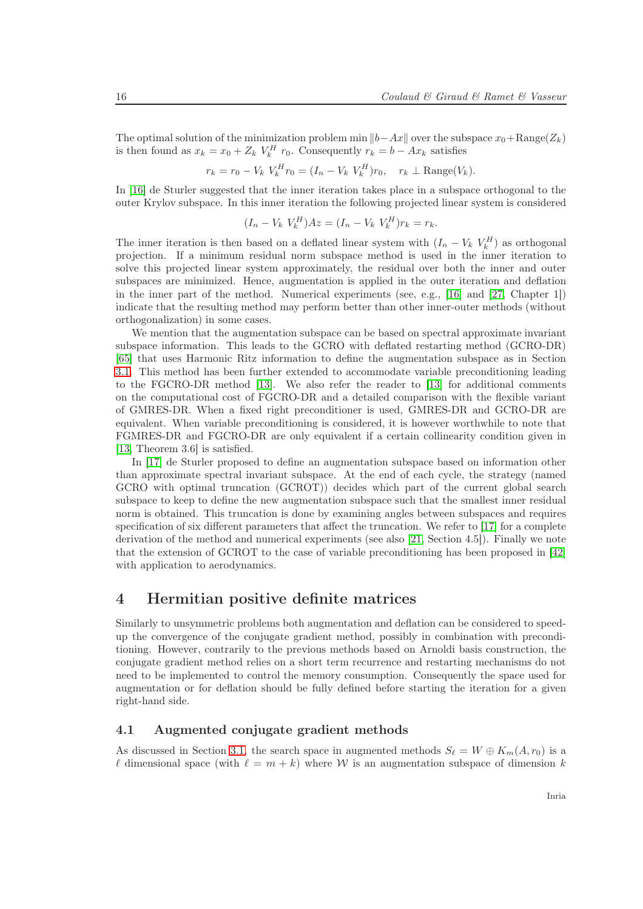The optimal solution of the minimization problem min  $||b-Ax||$  over the subspace  $x_0+Range(Z_k)$ is then found as  $x_k = x_0 + Z_k V_k^H r_0$ . Consequently  $r_k = b - Ax_k$  satisfies

$$
r_k = r_0 - V_k V_k^H r_0 = (I_n - V_k V_k^H) r_0, \quad r_k \perp \text{Range}(V_k).
$$

In [\[16\]](#page-23-7) de Sturler suggested that the inner iteration takes place in a subspace orthogonal to the outer Krylov subspace. In this inner iteration the following projected linear system is considered

$$
(I_n - V_k V_k^H)Az = (I_n - V_k V_k^H)r_k = r_k.
$$

The inner iteration is then based on a deflated linear system with  $(I_n - V_k V_k^H)$  as orthogonal projection. If a minimum residual norm subspace method is used in the inner iteration to solve this projected linear system approximately, the residual over both the inner and outer subspaces are minimized. Hence, augmentation is applied in the outer iteration and deflation in the inner part of the method. Numerical experiments (see, e.g., [\[16\]](#page-23-7) and [\[27,](#page-24-9) Chapter 1]) indicate that the resulting method may perform better than other inner-outer methods (without orthogonalization) in some cases.

We mention that the augmentation subspace can be based on spectral approximate invariant subspace information. This leads to the GCRO with deflated restarting method (GCRO-DR) [\[65\]](#page-26-11) that uses Harmonic Ritz information to define the augmentation subspace as in Section [3.1.](#page-10-1) This method has been further extended to accommodate variable preconditioning leading to the FGCRO-DR method [\[13\]](#page-23-10). We also refer the reader to [\[13\]](#page-23-10) for additional comments on the computational cost of FGCRO-DR and a detailed comparison with the flexible variant of GMRES-DR. When a fixed right preconditioner is used, GMRES-DR and GCRO-DR are equivalent. When variable preconditioning is considered, it is however worthwhile to note that FGMRES-DR and FGCRO-DR are only equivalent if a certain collinearity condition given in [\[13,](#page-23-10) Theorem 3.6] is satisfied.

In [\[17\]](#page-23-9) de Sturler proposed to define an augmentation subspace based on information other than approximate spectral invariant subspace. At the end of each cycle, the strategy (named GCRO with optimal truncation (GCROT)) decides which part of the current global search subspace to keep to define the new augmentation subspace such that the smallest inner residual norm is obtained. This truncation is done by examining angles between subspaces and requires specification of six different parameters that affect the truncation. We refer to [\[17\]](#page-23-9) for a complete derivation of the method and numerical experiments (see also [\[21,](#page-24-2) Section 4.5]). Finally we note that the extension of GCROT to the case of variable preconditioning has been proposed in [\[42\]](#page-25-10) with application to aerodynamics.

### <span id="page-18-0"></span>4 Hermitian positive definite matrices

Similarly to unsymmetric problems both augmentation and deflation can be considered to speedup the convergence of the conjugate gradient method, possibly in combination with preconditioning. However, contrarily to the previous methods based on Arnoldi basis construction, the conjugate gradient method relies on a short term recurrence and restarting mechanisms do not need to be implemented to control the memory consumption. Consequently the space used for augmentation or for deflation should be fully defined before starting the iteration for a given right-hand side.

#### <span id="page-18-1"></span>4.1 Augmented conjugate gradient methods

As discussed in Section [3.1,](#page-10-1) the search space in augmented methods  $S_{\ell} = W \oplus K_m(A, r_0)$  is a  $\ell$  dimensional space (with  $\ell = m + k$ ) where W is an augmentation subspace of dimension k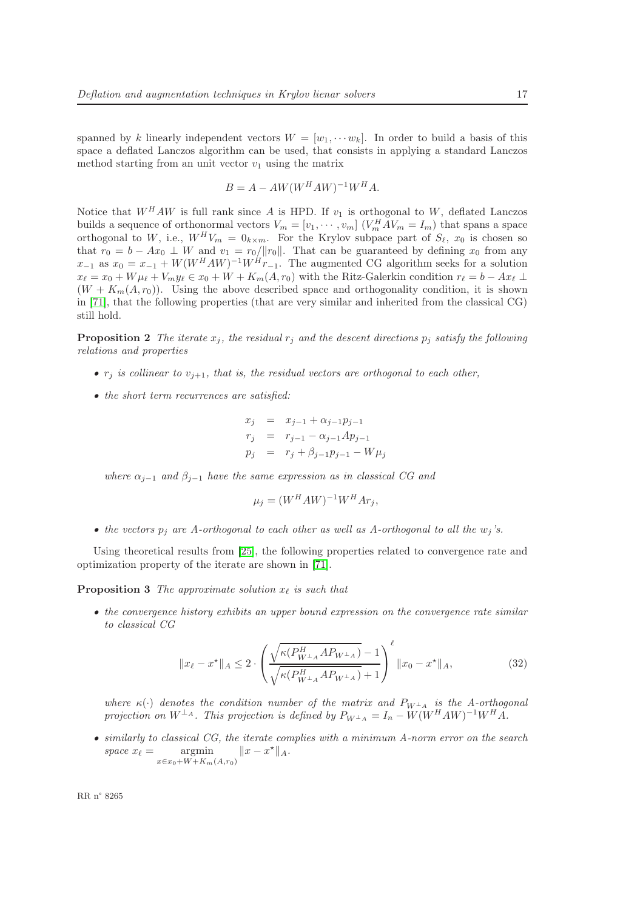spanned by k linearly independent vectors  $W = [w_1, \cdots w_k]$ . In order to build a basis of this space a deflated Lanczos algorithm can be used, that consists in applying a standard Lanczos method starting from an unit vector  $v_1$  using the matrix

$$
B = A - AW(W^H A W)^{-1} W^H A.
$$

Notice that  $W^H A W$  is full rank since A is HPD. If  $v_1$  is orthogonal to W, deflated Lanczos builds a sequence of orthonormal vectors  $V_m = [v_1, \dots, v_m]$   $(V_m^H A V_m = I_m)$  that spans a space orthogonal to W, i.e.,  $W^H V_m = 0_{k \times m}$ . For the Krylov subpace part of  $S_{\ell}$ ,  $x_0$  is chosen so that  $r_0 = b - Ax_0 \perp W$  and  $v_1 = r_0/||r_0||$ . That can be guaranteed by defining  $x_0$  from any  $x_{-1}$  as  $x_0 = x_{-1} + W(W^H A W)^{-1} W^H r_{-1}$ . The augmented CG algorithm seeks for a solution  $x_{\ell} = x_0 + W \mu_{\ell} + V_m y_{\ell} \in x_0 + W + K_m(A, r_0)$  with the Ritz-Galerkin condition  $r_{\ell} = b - Ax_{\ell} \perp$  $(W + K_m(A, r_0))$ . Using the above described space and orthogonality condition, it is shown in [\[71\]](#page-27-4), that the following properties (that are very similar and inherited from the classical CG) still hold.

**Proposition 2** The iterate  $x_j$ , the residual  $r_j$  and the descent directions  $p_j$  satisfy the following relations and properties

- $r_i$  is collinear to  $v_{i+1}$ , that is, the residual vectors are orthogonal to each other,
- the short term recurrences are satisfied:

$$
x_j = x_{j-1} + \alpha_{j-1} p_{j-1}
$$
  
\n
$$
r_j = r_{j-1} - \alpha_{j-1} Ap_{j-1}
$$
  
\n
$$
p_j = r_j + \beta_{j-1} p_{j-1} - W \mu_j
$$

where  $\alpha_{i-1}$  and  $\beta_{i-1}$  have the same expression as in classical CG and

$$
\mu_j = (W^H A W)^{-1} W^H A r_j,
$$

• the vectors  $p_i$  are A-orthogonal to each other as well as A-orthogonal to all the  $w_i$ 's.

Using theoretical results from [\[25\]](#page-24-10), the following properties related to convergence rate and optimization property of the iterate are shown in [\[71\]](#page-27-4).

**Proposition 3** The approximate solution  $x_{\ell}$  is such that

• the convergence history exhibits an upper bound expression on the convergence rate similar to classical CG

<span id="page-19-0"></span>
$$
||x_{\ell} - x^*||_A \le 2 \cdot \left( \frac{\sqrt{\kappa (P_{W^\perp A}^H A P_{W^\perp A})} - 1}{\sqrt{\kappa (P_{W^\perp A}^H A P_{W^\perp A})} + 1} \right)^{\ell} ||x_0 - x^*||_A, \tag{32}
$$

where  $\kappa(\cdot)$  denotes the condition number of the matrix and  $P_{W^{\perp}A}$  is the A-orthogonal projection on  $W^{\perp_A}$ . This projection is defined by  $P_{W^{\perp_A}} = I_n - W(W^H A W)^{-1} W^H A$ .

• similarly to classical CG, the iterate complies with a minimum A-norm error on the search space  $x_{\ell} = \text{argmin}$  $x \in x_0+W+K_m(A,r_0)$  $||x - x^*||_A.$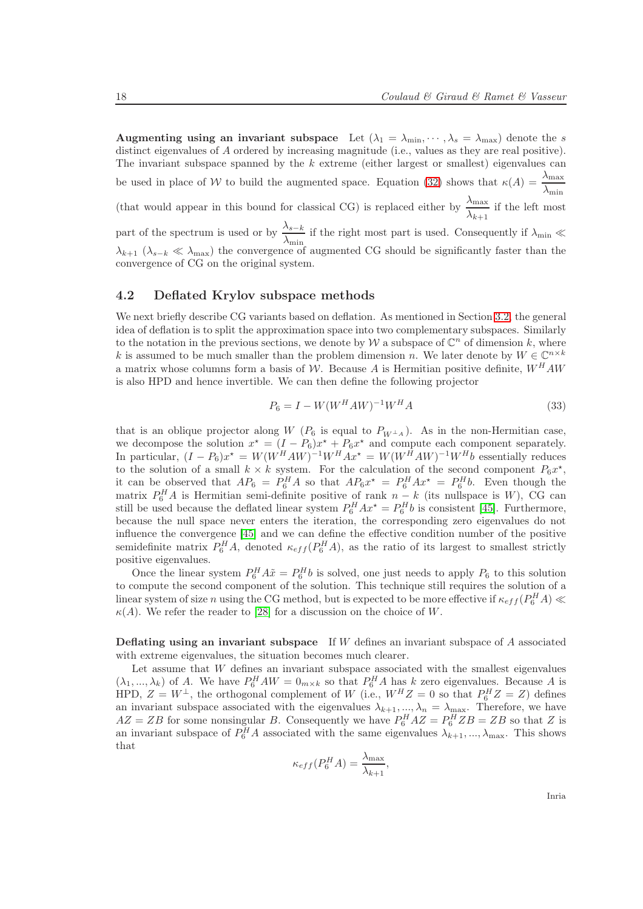Augmenting using an invariant subspace Let  $(\lambda_1 = \lambda_{\min}, \cdots, \lambda_s = \lambda_{\max})$  denote the s distinct eigenvalues of A ordered by increasing magnitude (i.e., values as they are real positive). The invariant subspace spanned by the  $k$  extreme (either largest or smallest) eigenvalues can be used in place of W to build the augmented space. Equation [\(32\)](#page-19-0) shows that  $\kappa(A) = \frac{\lambda_{\max}}{\lambda_{\min}}$ (that would appear in this bound for classical CG) is replaced either by  $\frac{\lambda_{\max}}{\lambda_{k+1}}$  if the left most part of the spectrum is used or by  $\frac{\lambda_{s-k}}{\lambda_{\min}}$  if the right most part is used. Consequently if  $\lambda_{\min} \ll$  $\lambda_{k+1}$  ( $\lambda_{s-k} \ll \lambda_{\max}$ ) the convergence of augmented CG should be significantly faster than the convergence of CG on the original system.

#### <span id="page-20-0"></span>4.2 Deflated Krylov subspace methods

We next briefly describe CG variants based on deflation. As mentioned in Section [3.2,](#page-13-0) the general idea of deflation is to split the approximation space into two complementary subspaces. Similarly to the notation in the previous sections, we denote by W a subspace of  $\mathbb{C}^n$  of dimension k, where k is assumed to be much smaller than the problem dimension n. We later denote by  $W \in \mathbb{C}^{n \times k}$ a matrix whose columns form a basis of W. Because A is Hermitian positive definite,  $W^H A W$ is also HPD and hence invertible. We can then define the following projector

$$
P_6 = I - W(W^H A W)^{-1} W^H A \tag{33}
$$

that is an oblique projector along W ( $P_6$  is equal to  $P_{W^{\perp}A}$ ). As in the non-Hermitian case, we decompose the solution  $x^* = (I - P_6)x^* + P_6x^*$  and compute each component separately. In particular,  $(I - P_6)x^* = W(W^H A W)^{-1}W^H A x^* = W(W^H A W)^{-1}W^H b$  essentially reduces to the solution of a small  $k \times k$  system. For the calculation of the second component  $P_6x^*$ , it can be observed that  $AP_6 = P_6^H A$  so that  $AP_6x^* = P_6^H Ax^* = P_6^H b$ . Even though the matrix  $P_6^H A$  is Hermitian semi-definite positive of rank  $n - k$  (its nullspace is W), CG can still be used because the deflated linear system  $P_6^H Ax^* = P_6^H b$  is consistent [\[45\]](#page-25-11). Furthermore, because the null space never enters the iteration, the corresponding zero eigenvalues do not influence the convergence [\[45\]](#page-25-11) and we can define the effective condition number of the positive semidefinite matrix  $P_6^H A$ , denoted  $\kappa_{eff}(P_6^H A)$ , as the ratio of its largest to smallest strictly positive eigenvalues.

Once the linear system  $P_6^H A \tilde{x} = P_6^H b$  is solved, one just needs to apply  $P_6$  to this solution to compute the second component of the solution. This technique still requires the solution of a linear system of size n using the CG method, but is expected to be more effective if  $\kappa_{eff}(P_6^H A) \ll$  $\kappa(A)$ . We refer the reader to [\[28\]](#page-24-11) for a discussion on the choice of W.

**Deflating using an invariant subspace** If W defines an invariant subspace of  $A$  associated with extreme eigenvalues, the situation becomes much clearer.

Let assume that W defines an invariant subspace associated with the smallest eigenvalues  $(\lambda_1, ..., \lambda_k)$  of A. We have  $P_6^H A W = 0_{m \times k}$  so that  $P_6^H A$  has k zero eigenvalues. Because A is HPD,  $Z = W^{\perp}$ , the orthogonal complement of W (i.e.,  $W^H Z = 0$  so that  $P_6^H Z = Z$ ) defines an invariant subspace associated with the eigenvalues  $\lambda_{k+1},...,\lambda_n = \lambda_{\max}$ . Therefore, we have  $AZ = ZB$  for some nonsingular B. Consequently we have  $P_6^H AZ = P_6^H ZB = ZB$  so that Z is an invariant subspace of  $P_6^H A$  associated with the same eigenvalues  $\lambda_{k+1},...,\lambda_{\text{max}}$ . This shows that

$$
\kappa_{eff}(P_6^H A) = \frac{\lambda_{\text{max}}}{\lambda_{k+1}},
$$

Inria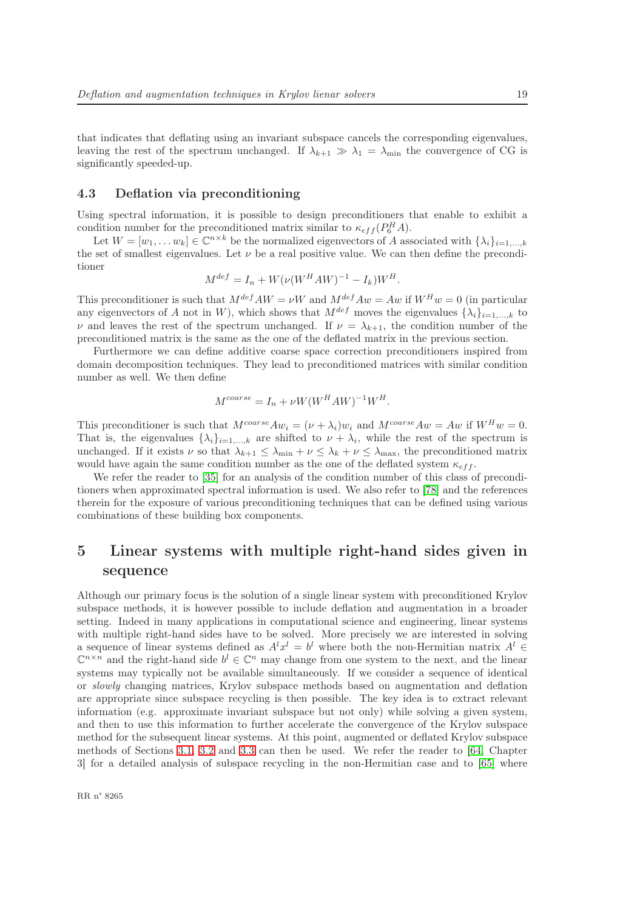that indicates that deflating using an invariant subspace cancels the corresponding eigenvalues, leaving the rest of the spectrum unchanged. If  $\lambda_{k+1} \gg \lambda_1 = \lambda_{\min}$  the convergence of CG is significantly speeded-up.

#### <span id="page-21-0"></span>4.3 Deflation via preconditioning

Using spectral information, it is possible to design preconditioners that enable to exhibit a condition number for the preconditioned matrix similar to  $\kappa_{eff}(P_6^H A)$ .

Let  $W = [w_1, \ldots w_k] \in \mathbb{C}^{n \times k}$  be the normalized eigenvectors of A associated with  $\{\lambda_i\}_{i=1,\ldots,k}$ the set of smallest eigenvalues. Let  $\nu$  be a real positive value. We can then define the preconditioner

$$
M^{def} = I_n + W(\nu(W^H A W)^{-1} - I_k)W^H.
$$

This preconditioner is such that  $M^{def}AW = \nu W$  and  $M^{def}Aw = Aw$  if  $W^H w = 0$  (in particular any eigenvectors of A not in W), which shows that  $M^{def}$  moves the eigenvalues  $\{\lambda_i\}_{i=1,\dots,k}$  to  $\nu$  and leaves the rest of the spectrum unchanged. If  $\nu = \lambda_{k+1}$ , the condition number of the preconditioned matrix is the same as the one of the deflated matrix in the previous section.

Furthermore we can define additive coarse space correction preconditioners inspired from domain decomposition techniques. They lead to preconditioned matrices with similar condition number as well. We then define

$$
M^{coarse} = I_n + \nu W (W^H A W)^{-1} W^H.
$$

This preconditioner is such that  $M^{coarse}Aw_i = (\nu + \lambda_i)w_i$  and  $M^{coarse}Aw = Aw$  if  $W^H w = 0$ . That is, the eigenvalues  $\{\lambda_i\}_{i=1,\dots,k}$  are shifted to  $\nu + \lambda_i$ , while the rest of the spectrum is unchanged. If it exists  $\nu$  so that  $\lambda_{k+1} \leq \lambda_{\min} + \nu \leq \lambda_k + \nu \leq \lambda_{\max}$ , the preconditioned matrix would have again the same condition number as the one of the deflated system  $\kappa_{eff}$ .

We refer the reader to [\[35\]](#page-24-12) for an analysis of the condition number of this class of preconditioners when approximated spectral information is used. We also refer to [\[78\]](#page-27-5) and the references therein for the exposure of various preconditioning techniques that can be defined using various combinations of these building box components.

# <span id="page-21-1"></span>5 Linear systems with multiple right-hand sides given in sequence

Although our primary focus is the solution of a single linear system with preconditioned Krylov subspace methods, it is however possible to include deflation and augmentation in a broader setting. Indeed in many applications in computational science and engineering, linear systems with multiple right-hand sides have to be solved. More precisely we are interested in solving a sequence of linear systems defined as  $A^l x^l = b^l$  where both the non-Hermitian matrix  $A^l \in$  $\mathbb{C}^{n \times n}$  and the right-hand side  $b^l \in \mathbb{C}^n$  may change from one system to the next, and the linear systems may typically not be available simultaneously. If we consider a sequence of identical or slowly changing matrices, Krylov subspace methods based on augmentation and deflation are appropriate since subspace recycling is then possible. The key idea is to extract relevant information (e.g. approximate invariant subspace but not only) while solving a given system, and then to use this information to further accelerate the convergence of the Krylov subspace method for the subsequent linear systems. At this point, augmented or deflated Krylov subspace methods of Sections [3.1,](#page-10-1) [3.2](#page-13-0) and [3.3](#page-16-0) can then be used. We refer the reader to [\[64,](#page-26-12) Chapter 3] for a detailed analysis of subspace recycling in the non-Hermitian case and to [\[65\]](#page-26-11) where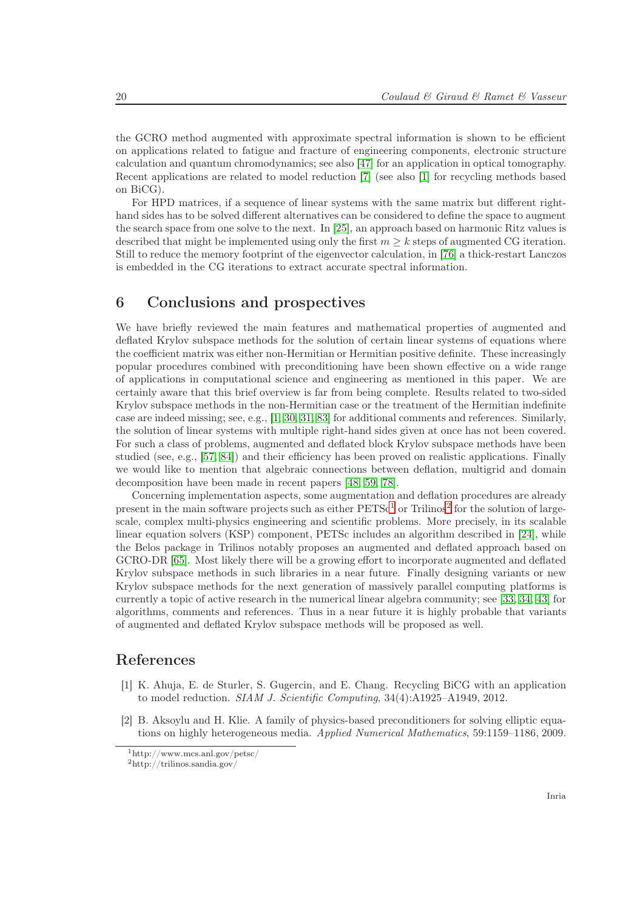the GCRO method augmented with approximate spectral information is shown to be efficient on applications related to fatigue and fracture of engineering components, electronic structure calculation and quantum chromodynamics; see also [\[47\]](#page-25-12) for an application in optical tomography. Recent applications are related to model reduction [\[7\]](#page-23-11) (see also [\[1\]](#page-22-2) for recycling methods based on BiCG).

For HPD matrices, if a sequence of linear systems with the same matrix but different righthand sides has to be solved different alternatives can be considered to define the space to augment the search space from one solve to the next. In [\[25\]](#page-24-10), an approach based on harmonic Ritz values is described that might be implemented using only the first  $m \geq k$  steps of augmented CG iteration. Still to reduce the memory footprint of the eigenvector calculation, in [\[76\]](#page-27-6) a thick-restart Lanczos is embedded in the CG iterations to extract accurate spectral information.

## <span id="page-22-0"></span>6 Conclusions and prospectives

We have briefly reviewed the main features and mathematical properties of augmented and deflated Krylov subspace methods for the solution of certain linear systems of equations where the coefficient matrix was either non-Hermitian or Hermitian positive definite. These increasingly popular procedures combined with preconditioning have been shown effective on a wide range of applications in computational science and engineering as mentioned in this paper. We are certainly aware that this brief overview is far from being complete. Results related to two-sided Krylov subspace methods in the non-Hermitian case or the treatment of the Hermitian indefinite case are indeed missing; see, e.g., [\[1,](#page-22-2) [30,](#page-24-4) [31,](#page-24-5) [83\]](#page-27-7) for additional comments and references. Similarly, the solution of linear systems with multiple right-hand sides given at once has not been covered. For such a class of problems, augmented and deflated block Krylov subspace methods have been studied (see, e.g., [\[57,](#page-26-13) [84\]](#page-27-8)) and their efficiency has been proved on realistic applications. Finally we would like to mention that algebraic connections between deflation, multigrid and domain decomposition have been made in recent papers [\[48,](#page-25-13) [59,](#page-26-14) [78\]](#page-27-5).

Concerning implementation aspects, some augmentation and deflation procedures are already present in the main software projects such as either  $PETSc<sup>1</sup>$  $PETSc<sup>1</sup>$  $PETSc<sup>1</sup>$  or Trilinos<sup>[2](#page-22-4)</sup> for the solution of largescale, complex multi-physics engineering and scientific problems. More precisely, in its scalable linear equation solvers (KSP) component, PETSc includes an algorithm described in [\[24\]](#page-24-7), while the Belos package in Trilinos notably proposes an augmented and deflated approach based on GCRO-DR [\[65\]](#page-26-11). Most likely there will be a growing effort to incorporate augmented and deflated Krylov subspace methods in such libraries in a near future. Finally designing variants or new Krylov subspace methods for the next generation of massively parallel computing platforms is currently a topic of active research in the numerical linear algebra community; see [\[33,](#page-24-13) [34,](#page-24-14) [43\]](#page-25-14) for algorithms, comments and references. Thus in a near future it is highly probable that variants of augmented and deflated Krylov subspace methods will be proposed as well.

# <span id="page-22-2"></span>References

- [1] K. Ahuja, E. de Sturler, S. Gugercin, and E. Chang. Recycling BiCG with an application to model reduction. SIAM J. Scientific Computing, 34(4):A1925–A1949, 2012.
- <span id="page-22-1"></span>[2] B. Aksoylu and H. Klie. A family of physics-based preconditioners for solving elliptic equations on highly heterogeneous media. Applied Numerical Mathematics, 59:1159–1186, 2009.

 $1$ http://www.mcs.anl.gov/petsc/

<span id="page-22-4"></span><span id="page-22-3"></span> $^{2}$ http://trilinos.sandia.gov/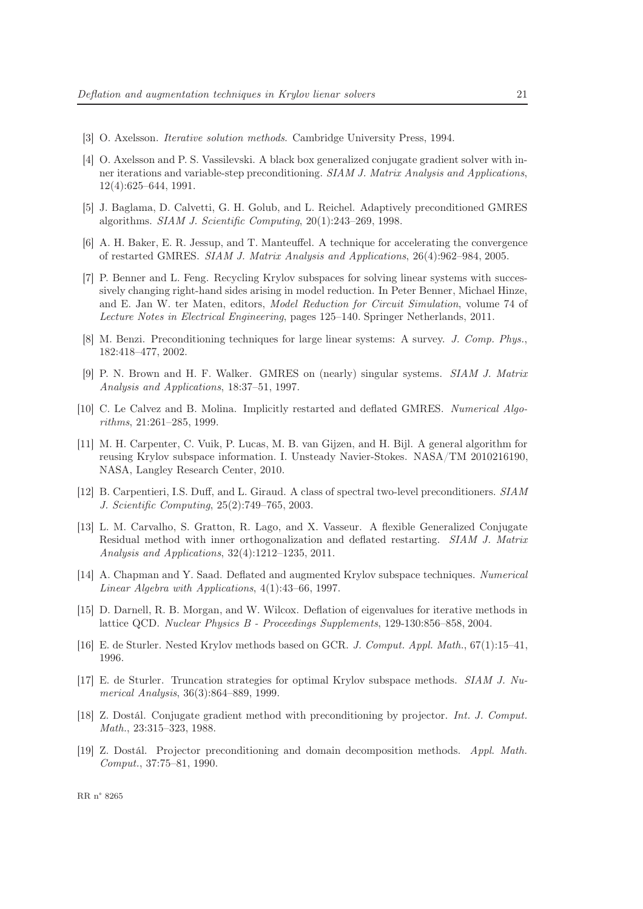- <span id="page-23-0"></span>[3] O. Axelsson. Iterative solution methods. Cambridge University Press, 1994.
- [4] O. Axelsson and P. S. Vassilevski. A black box generalized conjugate gradient solver with inner iterations and variable-step preconditioning. SIAM J. Matrix Analysis and Applications, 12(4):625–644, 1991.
- <span id="page-23-5"></span>[5] J. Baglama, D. Calvetti, G. H. Golub, and L. Reichel. Adaptively preconditioned GMRES algorithms. SIAM J. Scientific Computing, 20(1):243–269, 1998.
- <span id="page-23-8"></span>[6] A. H. Baker, E. R. Jessup, and T. Manteuffel. A technique for accelerating the convergence of restarted GMRES. SIAM J. Matrix Analysis and Applications, 26(4):962–984, 2005.
- <span id="page-23-11"></span>[7] P. Benner and L. Feng. Recycling Krylov subspaces for solving linear systems with successively changing right-hand sides arising in model reduction. In Peter Benner, Michael Hinze, and E. Jan W. ter Maten, editors, Model Reduction for Circuit Simulation, volume 74 of Lecture Notes in Electrical Engineering, pages 125–140. Springer Netherlands, 2011.
- <span id="page-23-1"></span>[8] M. Benzi. Preconditioning techniques for large linear systems: A survey. J. Comp. Phys., 182:418–477, 2002.
- <span id="page-23-4"></span>[9] P. N. Brown and H. F. Walker. GMRES on (nearly) singular systems. SIAM J. Matrix Analysis and Applications, 18:37–51, 1997.
- [10] C. Le Calvez and B. Molina. Implicitly restarted and deflated GMRES. Numerical Algorithms, 21:261–285, 1999.
- [11] M. H. Carpenter, C. Vuik, P. Lucas, M. B. van Gijzen, and H. Bijl. A general algorithm for reusing Krylov subspace information. I. Unsteady Navier-Stokes. NASA/TM 2010216190, NASA, Langley Research Center, 2010.
- <span id="page-23-6"></span>[12] B. Carpentieri, I.S. Duff, and L. Giraud. A class of spectral two-level preconditioners. SIAM J. Scientific Computing, 25(2):749–765, 2003.
- <span id="page-23-10"></span>[13] L. M. Carvalho, S. Gratton, R. Lago, and X. Vasseur. A flexible Generalized Conjugate Residual method with inner orthogonalization and deflated restarting. SIAM J. Matrix Analysis and Applications, 32(4):1212–1235, 2011.
- <span id="page-23-2"></span>[14] A. Chapman and Y. Saad. Deflated and augmented Krylov subspace techniques. Numerical Linear Algebra with Applications, 4(1):43–66, 1997.
- <span id="page-23-3"></span>[15] D. Darnell, R. B. Morgan, and W. Wilcox. Deflation of eigenvalues for iterative methods in lattice QCD. Nuclear Physics B - Proceedings Supplements, 129-130:856–858, 2004.
- <span id="page-23-9"></span><span id="page-23-7"></span>[16] E. de Sturler. Nested Krylov methods based on GCR. J. Comput. Appl. Math., 67(1):15–41, 1996.
- [17] E. de Sturler. Truncation strategies for optimal Krylov subspace methods. SIAM J. Numerical Analysis, 36(3):864–889, 1999.
- [18] Z. Dostál. Conjugate gradient method with preconditioning by projector. Int. J. Comput. Math., 23:315–323, 1988.
- [19] Z. Dostál. Projector preconditioning and domain decomposition methods. Appl. Math. Comput., 37:75–81, 1990.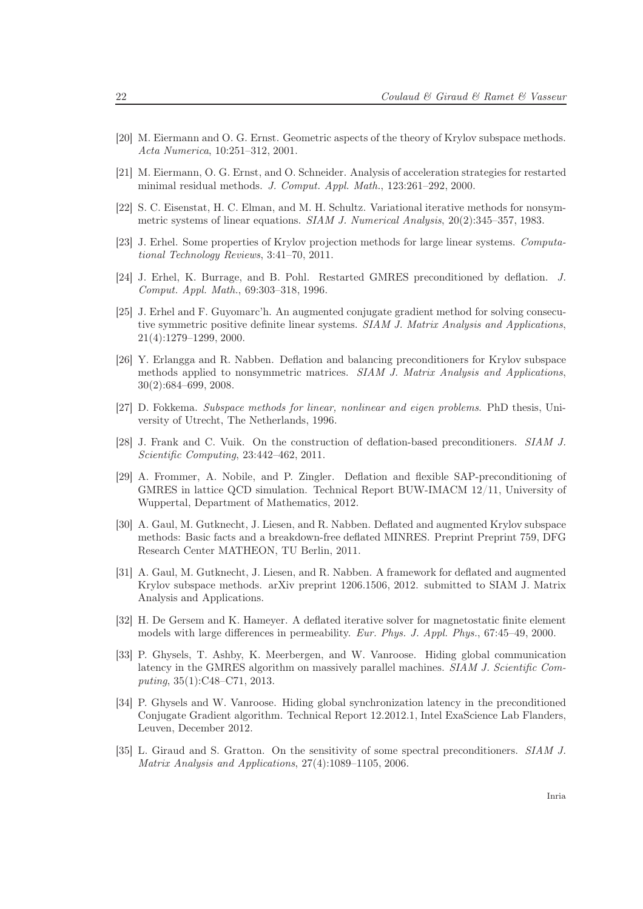- <span id="page-24-2"></span><span id="page-24-1"></span>[20] M. Eiermann and O. G. Ernst. Geometric aspects of the theory of Krylov subspace methods. Acta Numerica, 10:251–312, 2001.
- <span id="page-24-8"></span>[21] M. Eiermann, O. G. Ernst, and O. Schneider. Analysis of acceleration strategies for restarted minimal residual methods. J. Comput. Appl. Math., 123:261–292, 2000.
- [22] S. C. Eisenstat, H. C. Elman, and M. H. Schultz. Variational iterative methods for nonsymmetric systems of linear equations. SIAM J. Numerical Analysis, 20(2):345–357, 1983.
- <span id="page-24-7"></span><span id="page-24-0"></span>[23] J. Erhel. Some properties of Krylov projection methods for large linear systems. Computational Technology Reviews, 3:41–70, 2011.
- <span id="page-24-10"></span>[24] J. Erhel, K. Burrage, and B. Pohl. Restarted GMRES preconditioned by deflation. J. Comput. Appl. Math., 69:303–318, 1996.
- [25] J. Erhel and F. Guyomarc'h. An augmented conjugate gradient method for solving consecutive symmetric positive definite linear systems. SIAM J. Matrix Analysis and Applications, 21(4):1279–1299, 2000.
- <span id="page-24-6"></span>[26] Y. Erlangga and R. Nabben. Deflation and balancing preconditioners for Krylov subspace methods applied to nonsymmetric matrices. SIAM J. Matrix Analysis and Applications, 30(2):684–699, 2008.
- <span id="page-24-9"></span>[27] D. Fokkema. Subspace methods for linear, nonlinear and eigen problems. PhD thesis, University of Utrecht, The Netherlands, 1996.
- <span id="page-24-11"></span><span id="page-24-3"></span>[28] J. Frank and C. Vuik. On the construction of deflation-based preconditioners. SIAM J. Scientific Computing, 23:442–462, 2011.
- [29] A. Frommer, A. Nobile, and P. Zingler. Deflation and flexible SAP-preconditioning of GMRES in lattice QCD simulation. Technical Report BUW-IMACM 12/11, University of Wuppertal, Department of Mathematics, 2012.
- <span id="page-24-4"></span>[30] A. Gaul, M. Gutknecht, J. Liesen, and R. Nabben. Deflated and augmented Krylov subspace methods: Basic facts and a breakdown-free deflated MINRES. Preprint Preprint 759, DFG Research Center MATHEON, TU Berlin, 2011.
- <span id="page-24-5"></span>[31] A. Gaul, M. Gutknecht, J. Liesen, and R. Nabben. A framework for deflated and augmented Krylov subspace methods. arXiv preprint 1206.1506, 2012. submitted to SIAM J. Matrix Analysis and Applications.
- [32] H. De Gersem and K. Hameyer. A deflated iterative solver for magnetostatic finite element models with large differences in permeability. Eur. Phys. J. Appl. Phys., 67:45–49, 2000.
- <span id="page-24-13"></span>[33] P. Ghysels, T. Ashby, K. Meerbergen, and W. Vanroose. Hiding global communication latency in the GMRES algorithm on massively parallel machines. SIAM J. Scientific Computing, 35(1):C48–C71, 2013.
- <span id="page-24-14"></span>[34] P. Ghysels and W. Vanroose. Hiding global synchronization latency in the preconditioned Conjugate Gradient algorithm. Technical Report 12.2012.1, Intel ExaScience Lab Flanders, Leuven, December 2012.
- <span id="page-24-12"></span>[35] L. Giraud and S. Gratton. On the sensitivity of some spectral preconditioners. SIAM J. Matrix Analysis and Applications, 27(4):1089–1105, 2006.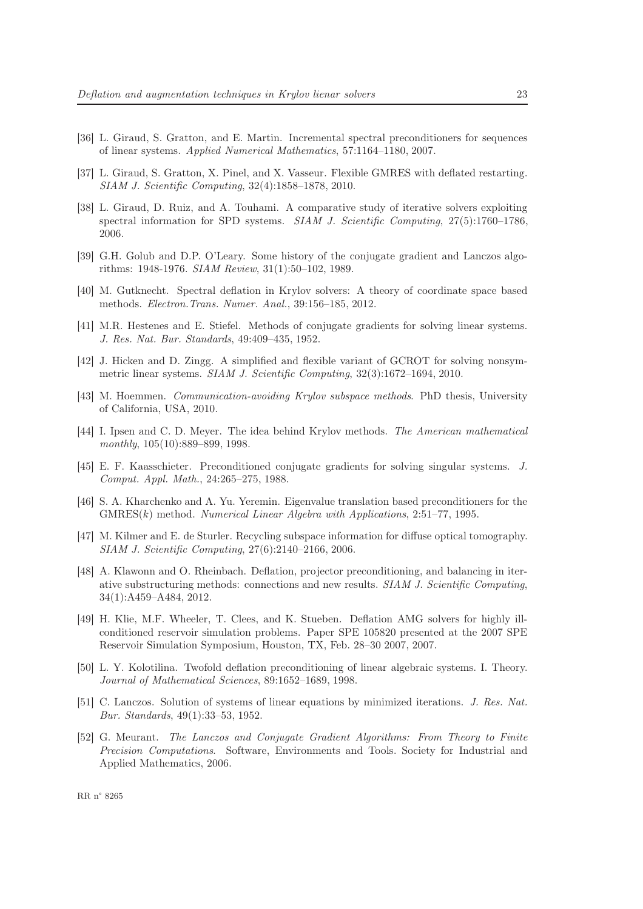- <span id="page-25-9"></span><span id="page-25-6"></span>[36] L. Giraud, S. Gratton, and E. Martin. Incremental spectral preconditioners for sequences of linear systems. Applied Numerical Mathematics, 57:1164–1180, 2007.
- [37] L. Giraud, S. Gratton, X. Pinel, and X. Vasseur. Flexible GMRES with deflated restarting. SIAM J. Scientific Computing, 32(4):1858–1878, 2010.
- [38] L. Giraud, D. Ruiz, and A. Touhami. A comparative study of iterative solvers exploiting spectral information for SPD systems. SIAM J. Scientific Computing, 27(5):1760–1786, 2006.
- <span id="page-25-5"></span>[39] G.H. Golub and D.P. O'Leary. Some history of the conjugate gradient and Lanczos algorithms: 1948-1976. SIAM Review, 31(1):50–102, 1989.
- <span id="page-25-0"></span>[40] M. Gutknecht. Spectral deflation in Krylov solvers: A theory of coordinate space based methods. Electron.Trans. Numer. Anal., 39:156–185, 2012.
- <span id="page-25-10"></span><span id="page-25-2"></span>[41] M.R. Hestenes and E. Stiefel. Methods of conjugate gradients for solving linear systems. J. Res. Nat. Bur. Standards, 49:409–435, 1952.
- [42] J. Hicken and D. Zingg. A simplified and flexible variant of GCROT for solving nonsymmetric linear systems. SIAM J. Scientific Computing, 32(3):1672–1694, 2010.
- <span id="page-25-14"></span>[43] M. Hoemmen. Communication-avoiding Krylov subspace methods. PhD thesis, University of California, USA, 2010.
- <span id="page-25-1"></span>[44] I. Ipsen and C. D. Meyer. The idea behind Krylov methods. The American mathematical monthly, 105(10):889–899, 1998.
- <span id="page-25-11"></span>[45] E. F. Kaasschieter. Preconditioned conjugate gradients for solving singular systems. J. Comput. Appl. Math., 24:265–275, 1988.
- <span id="page-25-8"></span>[46] S. A. Kharchenko and A. Yu. Yeremin. Eigenvalue translation based preconditioners for the  $GMRES(k)$  method. Numerical Linear Algebra with Applications, 2:51–77, 1995.
- <span id="page-25-12"></span>[47] M. Kilmer and E. de Sturler. Recycling subspace information for diffuse optical tomography. SIAM J. Scientific Computing, 27(6):2140–2166, 2006.
- <span id="page-25-13"></span>[48] A. Klawonn and O. Rheinbach. Deflation, projector preconditioning, and balancing in iterative substructuring methods: connections and new results. SIAM J. Scientific Computing, 34(1):A459–A484, 2012.
- <span id="page-25-7"></span>[49] H. Klie, M.F. Wheeler, T. Clees, and K. Stueben. Deflation AMG solvers for highly illconditioned reservoir simulation problems. Paper SPE 105820 presented at the 2007 SPE Reservoir Simulation Symposium, Houston, TX, Feb. 28–30 2007, 2007.
- [50] L. Y. Kolotilina. Twofold deflation preconditioning of linear algebraic systems. I. Theory. Journal of Mathematical Sciences, 89:1652–1689, 1998.
- <span id="page-25-3"></span>[51] C. Lanczos. Solution of systems of linear equations by minimized iterations. J. Res. Nat. Bur. Standards, 49(1):33–53, 1952.
- <span id="page-25-4"></span>[52] G. Meurant. The Lanczos and Conjugate Gradient Algorithms: From Theory to Finite Precision Computations. Software, Environments and Tools. Society for Industrial and Applied Mathematics, 2006.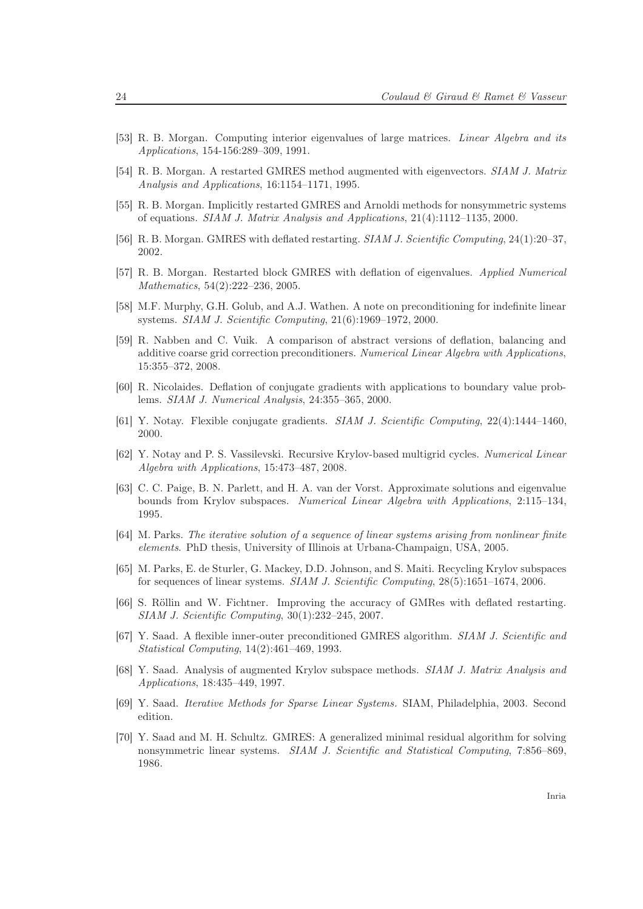- <span id="page-26-6"></span>[53] R. B. Morgan. Computing interior eigenvalues of large matrices. Linear Algebra and its Applications, 154-156:289–309, 1991.
- <span id="page-26-7"></span>[54] R. B. Morgan. A restarted GMRES method augmented with eigenvectors. SIAM J. Matrix Analysis and Applications, 16:1154–1171, 1995.
- <span id="page-26-8"></span>[55] R. B. Morgan. Implicitly restarted GMRES and Arnoldi methods for nonsymmetric systems of equations. SIAM J. Matrix Analysis and Applications, 21(4):1112–1135, 2000.
- <span id="page-26-13"></span>[56] R. B. Morgan. GMRES with deflated restarting. SIAM J. Scientific Computing, 24(1):20–37, 2002.
- [57] R. B. Morgan. Restarted block GMRES with deflation of eigenvalues. Applied Numerical Mathematics, 54(2):222–236, 2005.
- <span id="page-26-14"></span><span id="page-26-3"></span>[58] M.F. Murphy, G.H. Golub, and A.J. Wathen. A note on preconditioning for indefinite linear systems. SIAM J. Scientific Computing, 21(6):1969–1972, 2000.
- [59] R. Nabben and C. Vuik. A comparison of abstract versions of deflation, balancing and additive coarse grid correction preconditioners. Numerical Linear Algebra with Applications, 15:355–372, 2008.
- <span id="page-26-1"></span>[60] R. Nicolaides. Deflation of conjugate gradients with applications to boundary value problems. SIAM J. Numerical Analysis, 24:355–365, 2000.
- <span id="page-26-2"></span>[61] Y. Notay. Flexible conjugate gradients. SIAM J. Scientific Computing, 22(4):1444–1460, 2000.
- [62] Y. Notay and P. S. Vassilevski. Recursive Krylov-based multigrid cycles. Numerical Linear Algebra with Applications, 15:473–487, 2008.
- <span id="page-26-9"></span>[63] C. C. Paige, B. N. Parlett, and H. A. van der Vorst. Approximate solutions and eigenvalue bounds from Krylov subspaces. Numerical Linear Algebra with Applications, 2:115–134, 1995.
- <span id="page-26-12"></span>[64] M. Parks. The iterative solution of a sequence of linear systems arising from nonlinear finite elements. PhD thesis, University of Illinois at Urbana-Champaign, USA, 2005.
- <span id="page-26-11"></span>[65] M. Parks, E. de Sturler, G. Mackey, D.D. Johnson, and S. Maiti. Recycling Krylov subspaces for sequences of linear systems. SIAM J. Scientific Computing, 28(5):1651–1674, 2006.
- <span id="page-26-10"></span>[66] S. Röllin and W. Fichtner. Improving the accuracy of GMRes with deflated restarting. SIAM J. Scientific Computing, 30(1):232–245, 2007.
- <span id="page-26-4"></span>[67] Y. Saad. A flexible inner-outer preconditioned GMRES algorithm. SIAM J. Scientific and Statistical Computing, 14(2):461–469, 1993.
- <span id="page-26-5"></span>[68] Y. Saad. Analysis of augmented Krylov subspace methods. SIAM J. Matrix Analysis and Applications, 18:435–449, 1997.
- <span id="page-26-0"></span>[69] Y. Saad. Iterative Methods for Sparse Linear Systems. SIAM, Philadelphia, 2003. Second edition.
- [70] Y. Saad and M. H. Schultz. GMRES: A generalized minimal residual algorithm for solving nonsymmetric linear systems. SIAM J. Scientific and Statistical Computing, 7:856–869, 1986.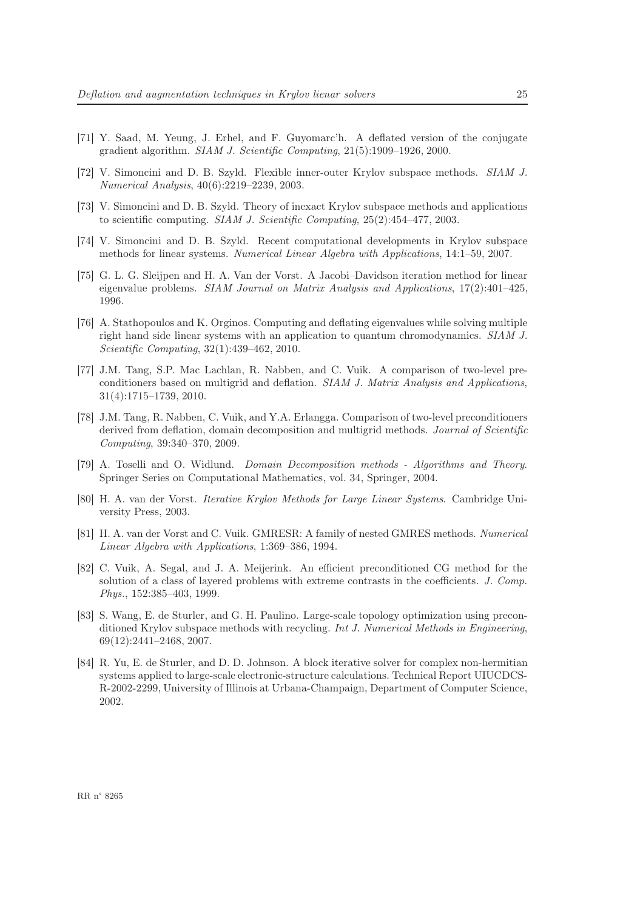- <span id="page-27-4"></span>[71] Y. Saad, M. Yeung, J. Erhel, and F. Guyomarc'h. A deflated version of the conjugate gradient algorithm. SIAM J. Scientific Computing, 21(5):1909–1926, 2000.
- [72] V. Simoncini and D. B. Szyld. Flexible inner-outer Krylov subspace methods. SIAM J. Numerical Analysis, 40(6):2219–2239, 2003.
- [73] V. Simoncini and D. B. Szyld. Theory of inexact Krylov subspace methods and applications to scientific computing. SIAM J. Scientific Computing, 25(2):454–477, 2003.
- <span id="page-27-2"></span><span id="page-27-1"></span>[74] V. Simoncini and D. B. Szyld. Recent computational developments in Krylov subspace methods for linear systems. Numerical Linear Algebra with Applications, 14:1–59, 2007.
- [75] G. L. G. Sleijpen and H. A. Van der Vorst. A Jacobi–Davidson iteration method for linear eigenvalue problems. SIAM Journal on Matrix Analysis and Applications, 17(2):401–425, 1996.
- <span id="page-27-6"></span>[76] A. Stathopoulos and K. Orginos. Computing and deflating eigenvalues while solving multiple right hand side linear systems with an application to quantum chromodynamics. SIAM J. Scientific Computing, 32(1):439–462, 2010.
- [77] J.M. Tang, S.P. Mac Lachlan, R. Nabben, and C. Vuik. A comparison of two-level preconditioners based on multigrid and deflation. SIAM J. Matrix Analysis and Applications, 31(4):1715–1739, 2010.
- <span id="page-27-5"></span>[78] J.M. Tang, R. Nabben, C. Vuik, and Y.A. Erlangga. Comparison of two-level preconditioners derived from deflation, domain decomposition and multigrid methods. Journal of Scientific Computing, 39:340–370, 2009.
- [79] A. Toselli and O. Widlund. Domain Decomposition methods Algorithms and Theory. Springer Series on Computational Mathematics, vol. 34, Springer, 2004.
- <span id="page-27-0"></span>[80] H. A. van der Vorst. Iterative Krylov Methods for Large Linear Systems. Cambridge University Press, 2003.
- <span id="page-27-3"></span>[81] H. A. van der Vorst and C. Vuik. GMRESR: A family of nested GMRES methods. Numerical Linear Algebra with Applications, 1:369–386, 1994.
- [82] C. Vuik, A. Segal, and J. A. Meijerink. An efficient preconditioned CG method for the solution of a class of layered problems with extreme contrasts in the coefficients. J. Comp. Phys., 152:385–403, 1999.
- <span id="page-27-7"></span>[83] S. Wang, E. de Sturler, and G. H. Paulino. Large-scale topology optimization using preconditioned Krylov subspace methods with recycling. Int J. Numerical Methods in Engineering, 69(12):2441–2468, 2007.
- <span id="page-27-8"></span>[84] R. Yu, E. de Sturler, and D. D. Johnson. A block iterative solver for complex non-hermitian systems applied to large-scale electronic-structure calculations. Technical Report UIUCDCS-R-2002-2299, University of Illinois at Urbana-Champaign, Department of Computer Science, 2002.